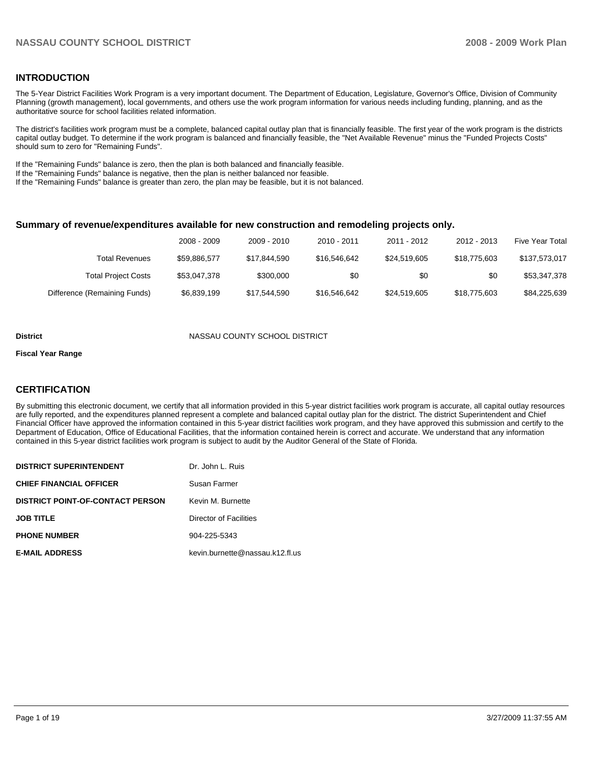### **INTRODUCTION**

The 5-Year District Facilities Work Program is a very important document. The Department of Education, Legislature, Governor's Office, Division of Community Planning (growth management), local governments, and others use the work program information for various needs including funding, planning, and as the authoritative source for school facilities related information.

The district's facilities work program must be a complete, balanced capital outlay plan that is financially feasible. The first year of the work program is the districts capital outlay budget. To determine if the work program is balanced and financially feasible, the "Net Available Revenue" minus the "Funded Projects Costs" should sum to zero for "Remaining Funds".

If the "Remaining Funds" balance is zero, then the plan is both balanced and financially feasible.

If the "Remaining Funds" balance is negative, then the plan is neither balanced nor feasible.

If the "Remaining Funds" balance is greater than zero, the plan may be feasible, but it is not balanced.

#### **Summary of revenue/expenditures available for new construction and remodeling projects only.**

| <b>Five Year Total</b> | 2012 - 2013  | 2011 - 2012  | $2010 - 2011$ | 2009 - 2010  | 2008 - 2009  |                              |
|------------------------|--------------|--------------|---------------|--------------|--------------|------------------------------|
| \$137,573,017          | \$18,775,603 | \$24.519.605 | \$16,546,642  | \$17.844.590 | \$59.886.577 | Total Revenues               |
| \$53,347,378           | \$0          | \$0          | \$0           | \$300,000    | \$53,047,378 | <b>Total Project Costs</b>   |
| \$84,225,639           | \$18,775,603 | \$24,519,605 | \$16,546,642  | \$17,544,590 | \$6,839,199  | Difference (Remaining Funds) |

#### **District COUNTY SCHOOL DISTRICT NASSAU COUNTY SCHOOL DISTRICT**

#### **Fiscal Year Range**

#### **CERTIFICATION**

By submitting this electronic document, we certify that all information provided in this 5-year district facilities work program is accurate, all capital outlay resources are fully reported, and the expenditures planned represent a complete and balanced capital outlay plan for the district. The district Superintendent and Chief Financial Officer have approved the information contained in this 5-year district facilities work program, and they have approved this submission and certify to the Department of Education, Office of Educational Facilities, that the information contained herein is correct and accurate. We understand that any information contained in this 5-year district facilities work program is subject to audit by the Auditor General of the State of Florida.

| <b>DISTRICT SUPERINTENDENT</b>          | Dr. John L. Ruis                |
|-----------------------------------------|---------------------------------|
| <b>CHIEF FINANCIAL OFFICER</b>          | Susan Farmer                    |
| <b>DISTRICT POINT-OF-CONTACT PERSON</b> | Kevin M. Burnette               |
| <b>JOB TITLE</b>                        | Director of Facilities          |
| <b>PHONE NUMBER</b>                     | 904-225-5343                    |
| <b>E-MAIL ADDRESS</b>                   | kevin.burnette@nassau.k12.fl.us |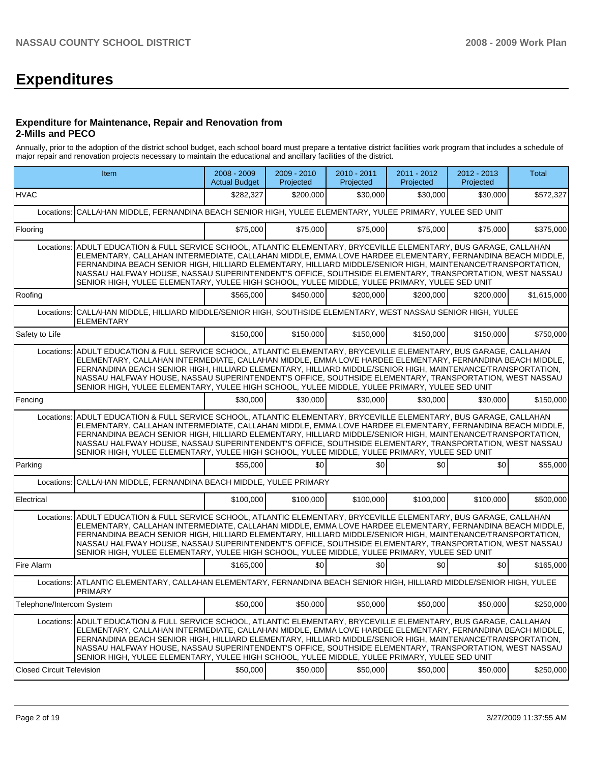# **Expenditures**

#### **Expenditure for Maintenance, Repair and Renovation from 2-Mills and PECO**

Annually, prior to the adoption of the district school budget, each school board must prepare a tentative district facilities work program that includes a schedule of major repair and renovation projects necessary to maintain the educational and ancillary facilities of the district.

|                                  | Item                                                                                                                                                                                                                                                                                                                                                                                                                                                                                                                                                        | $2008 - 2009$<br><b>Actual Budget</b> | 2009 - 2010<br>Projected | 2010 - 2011<br>Projected | 2011 - 2012<br>Projected | 2012 - 2013<br>Projected | Total       |
|----------------------------------|-------------------------------------------------------------------------------------------------------------------------------------------------------------------------------------------------------------------------------------------------------------------------------------------------------------------------------------------------------------------------------------------------------------------------------------------------------------------------------------------------------------------------------------------------------------|---------------------------------------|--------------------------|--------------------------|--------------------------|--------------------------|-------------|
| <b>HVAC</b>                      |                                                                                                                                                                                                                                                                                                                                                                                                                                                                                                                                                             | \$282,327                             | \$200,000                | \$30,000                 | \$30,000                 | \$30,000                 | \$572,327   |
|                                  | Locations: CALLAHAN MIDDLE, FERNANDINA BEACH SENIOR HIGH, YULEE ELEMENTARY, YULEE PRIMARY, YULEE SED UNIT                                                                                                                                                                                                                                                                                                                                                                                                                                                   |                                       |                          |                          |                          |                          |             |
| Flooring                         |                                                                                                                                                                                                                                                                                                                                                                                                                                                                                                                                                             | \$75,000                              | \$75,000                 | \$75,000                 | \$75,000                 | \$75,000                 | \$375,000   |
|                                  | Locations: ADULT EDUCATION & FULL SERVICE SCHOOL, ATLANTIC ELEMENTARY, BRYCEVILLE ELEMENTARY, BUS GARAGE, CALLAHAN<br>ELEMENTARY, CALLAHAN INTERMEDIATE, CALLAHAN MIDDLE, EMMA LOVE HARDEE ELEMENTARY, FERNANDINA BEACH MIDDLE,<br>FERNANDINA BEACH SENIOR HIGH, HILLIARD ELEMENTARY, HILLIARD MIDDLE/SENIOR HIGH, MAINTENANCE/TRANSPORTATION,<br>NASSAU HALFWAY HOUSE, NASSAU SUPERINTENDENT'S OFFICE, SOUTHSIDE ELEMENTARY, TRANSPORTATION, WEST NASSAU<br>SENIOR HIGH, YULEE ELEMENTARY, YULEE HIGH SCHOOL, YULEE MIDDLE, YULEE PRIMARY, YULEE SED UNIT  |                                       |                          |                          |                          |                          |             |
| Roofing                          |                                                                                                                                                                                                                                                                                                                                                                                                                                                                                                                                                             | \$565,000                             | \$450.000                | \$200,000                | \$200,000                | \$200.000                | \$1,615,000 |
| Locations:                       | CALLAHAN MIDDLE, HILLIARD MIDDLE/SENIOR HIGH, SOUTHSIDE ELEMENTARY, WEST NASSAU SENIOR HIGH, YULEE<br><b>ELEMENTARY</b>                                                                                                                                                                                                                                                                                                                                                                                                                                     |                                       |                          |                          |                          |                          |             |
| Safety to Life                   |                                                                                                                                                                                                                                                                                                                                                                                                                                                                                                                                                             | \$150,000                             | \$150,000                | \$150,000                | \$150,000                | \$150,000                | \$750,000   |
|                                  | Locations: ADULT EDUCATION & FULL SERVICE SCHOOL, ATLANTIC ELEMENTARY, BRYCEVILLE ELEMENTARY, BUS GARAGE, CALLAHAN<br>ELEMENTARY, CALLAHAN INTERMEDIATE, CALLAHAN MIDDLE, EMMA LOVE HARDEE ELEMENTARY, FERNANDINA BEACH MIDDLE,<br>FERNANDINA BEACH SENIOR HIGH, HILLIARD ELEMENTARY, HILLIARD MIDDLE/SENIOR HIGH, MAINTENANCE/TRANSPORTATION,<br>NASSAU HALFWAY HOUSE, NASSAU SUPERINTENDENT'S OFFICE, SOUTHSIDE ELEMENTARY, TRANSPORTATION, WEST NASSAU<br>SENIOR HIGH, YULEE ELEMENTARY, YULEE HIGH SCHOOL, YULEE MIDDLE, YULEE PRIMARY, YULEE SED UNIT  |                                       |                          |                          |                          |                          |             |
| Fencing                          |                                                                                                                                                                                                                                                                                                                                                                                                                                                                                                                                                             | \$30.000                              | \$30,000                 | \$30,000                 | \$30,000                 | \$30,000                 | \$150,000   |
| Locations:                       | ADULT EDUCATION & FULL SERVICE SCHOOL, ATLANTIC ELEMENTARY, BRYCEVILLE ELEMENTARY, BUS GARAGE, CALLAHAN<br>ELEMENTARY, CALLAHAN INTERMEDIATE, CALLAHAN MIDDLE, EMMA LOVE HARDEE ELEMENTARY, FERNANDINA BEACH MIDDLE,<br>FERNANDINA BEACH SENIOR HIGH, HILLIARD ELEMENTARY, HILLIARD MIDDLE/SENIOR HIGH, MAINTENANCE/TRANSPORTATION,<br>NASSAU HALFWAY HOUSE, NASSAU SUPERINTENDENT'S OFFICE, SOUTHSIDE ELEMENTARY, TRANSPORTATION, WEST NASSAU<br>SENIOR HIGH, YULEE ELEMENTARY, YULEE HIGH SCHOOL, YULEE MIDDLE, YULEE PRIMARY, YULEE SED UNIT             |                                       |                          |                          |                          |                          |             |
| Parking                          |                                                                                                                                                                                                                                                                                                                                                                                                                                                                                                                                                             | \$55,000                              | \$0                      | \$0                      | \$0                      | \$0                      | \$55,000    |
|                                  | Locations: CALLAHAN MIDDLE, FERNANDINA BEACH MIDDLE, YULEE PRIMARY                                                                                                                                                                                                                                                                                                                                                                                                                                                                                          |                                       |                          |                          |                          |                          |             |
| Electrical                       |                                                                                                                                                                                                                                                                                                                                                                                                                                                                                                                                                             | \$100,000                             | \$100,000                | \$100,000                | \$100,000                | \$100,000                | \$500,000   |
| Locations:                       | ADULT EDUCATION & FULL SERVICE SCHOOL, ATLANTIC ELEMENTARY, BRYCEVILLE ELEMENTARY, BUS GARAGE, CALLAHAN<br>ELEMENTARY, CALLAHAN INTERMEDIATE, CALLAHAN MIDDLE, EMMA LOVE HARDEE ELEMENTARY, FERNANDINA BEACH MIDDLE,<br>FERNANDINA BEACH SENIOR HIGH, HILLIARD ELEMENTARY, HILLIARD MIDDLE/SENIOR HIGH, MAINTENANCE/TRANSPORTATION,<br>NASSAU HALFWAY HOUSE, NASSAU SUPERINTENDENT'S OFFICE, SOUTHSIDE ELEMENTARY, TRANSPORTATION, WEST NASSAU<br>SENIOR HIGH, YULEE ELEMENTARY, YULEE HIGH SCHOOL, YULEE MIDDLE, YULEE PRIMARY, YULEE SED UNIT             |                                       |                          |                          |                          |                          |             |
| Fire Alarm                       |                                                                                                                                                                                                                                                                                                                                                                                                                                                                                                                                                             | \$165,000                             | \$0                      | \$0                      | \$0 <sub>1</sub>         | \$0                      | \$165,000   |
|                                  | Locations: ATLANTIC ELEMENTARY, CALLAHAN ELEMENTARY, FERNANDINA BEACH SENIOR HIGH, HILLIARD MIDDLE/SENIOR HIGH, YULEE<br><b>PRIMARY</b>                                                                                                                                                                                                                                                                                                                                                                                                                     |                                       |                          |                          |                          |                          |             |
| Telephone/Intercom System        |                                                                                                                                                                                                                                                                                                                                                                                                                                                                                                                                                             | \$50,000                              | \$50,000                 | \$50,000                 | \$50,000                 | \$50,000                 | \$250,000   |
|                                  | Locations: ADULT EDUCATION & FULL SERVICE SCHOOL, ATLANTIC ELEMENTARY, BRYCEVILLE ELEMENTARY, BUS GARAGE, CALLAHAN<br> ELEMENTARY, CALLAHAN INTERMEDIATE, CALLAHAN MIDDLE, EMMA LOVE HARDEE ELEMENTARY, FERNANDINA BEACH MIDDLE,<br>FERNANDINA BEACH SENIOR HIGH, HILLIARD ELEMENTARY, HILLIARD MIDDLE/SENIOR HIGH, MAINTENANCE/TRANSPORTATION,<br>NASSAU HALFWAY HOUSE, NASSAU SUPERINTENDENT'S OFFICE, SOUTHSIDE ELEMENTARY, TRANSPORTATION, WEST NASSAU<br>SENIOR HIGH, YULEE ELEMENTARY, YULEE HIGH SCHOOL, YULEE MIDDLE, YULEE PRIMARY, YULEE SED UNIT |                                       |                          |                          |                          |                          |             |
| <b>Closed Circuit Television</b> |                                                                                                                                                                                                                                                                                                                                                                                                                                                                                                                                                             | \$50,000                              | \$50,000                 | \$50,000                 | \$50,000                 | \$50,000                 | \$250,000   |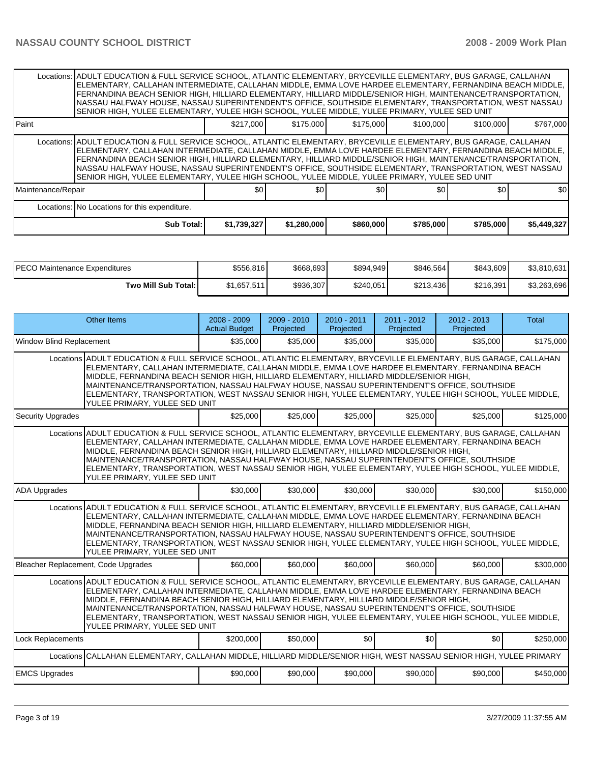|                                               | Locations: ADULT EDUCATION & FULL SERVICE SCHOOL, ATLANTIC ELEMENTARY, BRYCEVILLE ELEMENTARY, BUS GARAGE, CALLAHAN<br>ELEMENTARY, CALLAHAN INTERMEDIATE, CALLAHAN MIDDLE, EMMA LOVE HARDEE ELEMENTARY, FERNANDINA BEACH MIDDLE,<br>IFERNANDINA BEACH SENIOR HIGH. HILLIARD ELEMENTARY. HILLIARD MIDDLE/SENIOR HIGH. MAINTENANCE/TRANSPORTATION.<br>INASSAU HALFWAY HOUSE, NASSAU SUPERINTENDENT'S OFFICE, SOUTHSIDE ELEMENTARY, TRANSPORTATION, WEST NASSAU<br>SENIOR HIGH, YULEE ELEMENTARY, YULEE HIGH SCHOOL, YULEE MIDDLE, YULEE PRIMARY, YULEE SED UNIT  |             |             |           |           |           |             |  |  |
|-----------------------------------------------|---------------------------------------------------------------------------------------------------------------------------------------------------------------------------------------------------------------------------------------------------------------------------------------------------------------------------------------------------------------------------------------------------------------------------------------------------------------------------------------------------------------------------------------------------------------|-------------|-------------|-----------|-----------|-----------|-------------|--|--|
| l Paint                                       |                                                                                                                                                                                                                                                                                                                                                                                                                                                                                                                                                               | \$217,000   | \$175,000   | \$175,000 | \$100,000 | \$100,000 | \$767,000   |  |  |
|                                               | Locations:   ADULT EDUCATION & FULL SERVICE SCHOOL, ATLANTIC ELEMENTARY, BRYCEVILLE ELEMENTARY, BUS GARAGE, CALLAHAN<br>ELEMENTARY, CALLAHAN INTERMEDIATE, CALLAHAN MIDDLE, EMMA LOVE HARDEE ELEMENTARY, FERNANDINA BEACH MIDDLE,<br>FERNANDINA BEACH SENIOR HIGH, HILLIARD ELEMENTARY, HILLIARD MIDDLE/SENIOR HIGH, MAINTENANCE/TRANSPORTATION,<br>INASSAU HALFWAY HOUSE, NASSAU SUPERINTENDENT'S OFFICE, SOUTHSIDE ELEMENTARY, TRANSPORTATION, WEST NASSAU<br>SENIOR HIGH, YULEE ELEMENTARY, YULEE HIGH SCHOOL, YULEE MIDDLE, YULEE PRIMARY, YULEE SED UNIT |             |             |           |           |           |             |  |  |
| Maintenance/Repair                            |                                                                                                                                                                                                                                                                                                                                                                                                                                                                                                                                                               | \$0         | \$0         | \$0       | \$0       | \$0       | \$0         |  |  |
| Locations: No Locations for this expenditure. |                                                                                                                                                                                                                                                                                                                                                                                                                                                                                                                                                               |             |             |           |           |           |             |  |  |
|                                               | Sub Total:                                                                                                                                                                                                                                                                                                                                                                                                                                                                                                                                                    | \$1,739,327 | \$1,280,000 | \$860,000 | \$785,000 | \$785,000 | \$5,449,327 |  |  |

| IPECO Maintenance Expenditures | \$556,816   | \$668,693 | \$894,949 | \$846,564 | \$843,609 | \$3,810,631 |
|--------------------------------|-------------|-----------|-----------|-----------|-----------|-------------|
| Two Mill Sub Total:            | \$1,657,511 | \$936,307 | \$240,051 | \$213,436 | \$216,391 | \$3,263,696 |

| Other Items                                                                                                                                                                                                                                                                                                                                                                                                                                                                                                                                                  | $2008 - 2009$<br><b>Actual Budget</b> | $2009 - 2010$<br>Projected | $2010 - 2011$<br>Projected | $2011 - 2012$<br>Projected | $2012 - 2013$<br>Projected | Total     |  |  |  |  |
|--------------------------------------------------------------------------------------------------------------------------------------------------------------------------------------------------------------------------------------------------------------------------------------------------------------------------------------------------------------------------------------------------------------------------------------------------------------------------------------------------------------------------------------------------------------|---------------------------------------|----------------------------|----------------------------|----------------------------|----------------------------|-----------|--|--|--|--|
| <b>Window Blind Replacement</b>                                                                                                                                                                                                                                                                                                                                                                                                                                                                                                                              | \$35,000                              | \$35,000                   | \$35,000                   | \$35,000                   | \$35,000                   | \$175,000 |  |  |  |  |
| Locations ADULT EDUCATION & FULL SERVICE SCHOOL, ATLANTIC ELEMENTARY, BRYCEVILLE ELEMENTARY, BUS GARAGE, CALLAHAN<br>ELEMENTARY, CALLAHAN INTERMEDIATE, CALLAHAN MIDDLE, EMMA LOVE HARDEE ELEMENTARY, FERNANDINA BEACH<br>MIDDLE, FERNANDINA BEACH SENIOR HIGH, HILLIARD ELEMENTARY, HILLIARD MIDDLE/SENIOR HIGH,<br>MAINTENANCE/TRANSPORTATION, NASSAU HALFWAY HOUSE, NASSAU SUPERINTENDENT'S OFFICE, SOUTHSIDE<br>ELEMENTARY, TRANSPORTATION, WEST NASSAU SENIOR HIGH, YULEE ELEMENTARY, YULEE HIGH SCHOOL, YULEE MIDDLE,<br>YULEE PRIMARY, YULEE SED UNIT |                                       |                            |                            |                            |                            |           |  |  |  |  |
| <b>Security Upgrades</b>                                                                                                                                                                                                                                                                                                                                                                                                                                                                                                                                     | \$25,000                              | \$25,000                   | \$25,000                   | \$25,000                   | \$25,000                   | \$125,000 |  |  |  |  |
| Locations ADULT EDUCATION & FULL SERVICE SCHOOL, ATLANTIC ELEMENTARY, BRYCEVILLE ELEMENTARY, BUS GARAGE, CALLAHAN<br>ELEMENTARY, CALLAHAN INTERMEDIATE, CALLAHAN MIDDLE, EMMA LOVE HARDEE ELEMENTARY, FERNANDINA BEACH<br>MIDDLE, FERNANDINA BEACH SENIOR HIGH, HILLIARD ELEMENTARY, HILLIARD MIDDLE/SENIOR HIGH,<br>MAINTENANCE/TRANSPORTATION, NASSAU HALFWAY HOUSE, NASSAU SUPERINTENDENT'S OFFICE, SOUTHSIDE<br>ELEMENTARY, TRANSPORTATION, WEST NASSAU SENIOR HIGH, YULEE ELEMENTARY, YULEE HIGH SCHOOL, YULEE MIDDLE,<br>YULEE PRIMARY, YULEE SED UNIT |                                       |                            |                            |                            |                            |           |  |  |  |  |
| <b>ADA Upgrades</b>                                                                                                                                                                                                                                                                                                                                                                                                                                                                                                                                          | \$30,000                              | \$30,000                   | \$30,000                   | \$30,000                   | \$30,000                   | \$150,000 |  |  |  |  |
| Locations ADULT EDUCATION & FULL SERVICE SCHOOL, ATLANTIC ELEMENTARY, BRYCEVILLE ELEMENTARY, BUS GARAGE, CALLAHAN<br>ELEMENTARY, CALLAHAN INTERMEDIATE, CALLAHAN MIDDLE, EMMA LOVE HARDEE ELEMENTARY, FERNANDINA BEACH<br>MIDDLE, FERNANDINA BEACH SENIOR HIGH, HILLIARD ELEMENTARY, HILLIARD MIDDLE/SENIOR HIGH,<br>MAINTENANCE/TRANSPORTATION, NASSAU HALFWAY HOUSE, NASSAU SUPERINTENDENT'S OFFICE, SOUTHSIDE<br>ELEMENTARY, TRANSPORTATION, WEST NASSAU SENIOR HIGH, YULEE ELEMENTARY, YULEE HIGH SCHOOL, YULEE MIDDLE,<br>YULEE PRIMARY, YULEE SED UNIT |                                       |                            |                            |                            |                            |           |  |  |  |  |
| Bleacher Replacement, Code Upgrades                                                                                                                                                                                                                                                                                                                                                                                                                                                                                                                          | \$60,000                              | \$60,000                   | \$60,000                   | \$60,000                   | \$60,000                   | \$300,000 |  |  |  |  |
| Locations ADULT EDUCATION & FULL SERVICE SCHOOL, ATLANTIC ELEMENTARY, BRYCEVILLE ELEMENTARY, BUS GARAGE, CALLAHAN<br>ELEMENTARY, CALLAHAN INTERMEDIATE, CALLAHAN MIDDLE, EMMA LOVE HARDEE ELEMENTARY, FERNANDINA BEACH<br>MIDDLE, FERNANDINA BEACH SENIOR HIGH, HILLIARD ELEMENTARY, HILLIARD MIDDLE/SENIOR HIGH,<br>MAINTENANCE/TRANSPORTATION, NASSAU HALFWAY HOUSE, NASSAU SUPERINTENDENT'S OFFICE, SOUTHSIDE<br>ELEMENTARY, TRANSPORTATION, WEST NASSAU SENIOR HIGH, YULEE ELEMENTARY, YULEE HIGH SCHOOL, YULEE MIDDLE,<br>YULEE PRIMARY, YULEE SED UNIT |                                       |                            |                            |                            |                            |           |  |  |  |  |
| <b>Lock Replacements</b>                                                                                                                                                                                                                                                                                                                                                                                                                                                                                                                                     | \$200,000                             | \$50,000                   | \$0                        | \$0                        | \$0                        | \$250,000 |  |  |  |  |
| Locations CALLAHAN ELEMENTARY, CALLAHAN MIDDLE, HILLIARD MIDDLE/SENIOR HIGH, WEST NASSAU SENIOR HIGH, YULEE PRIMARY                                                                                                                                                                                                                                                                                                                                                                                                                                          |                                       |                            |                            |                            |                            |           |  |  |  |  |
| <b>EMCS Upgrades</b>                                                                                                                                                                                                                                                                                                                                                                                                                                                                                                                                         | \$90,000                              | \$90,000                   | \$90,000                   | \$90,000                   | \$90,000                   | \$450,000 |  |  |  |  |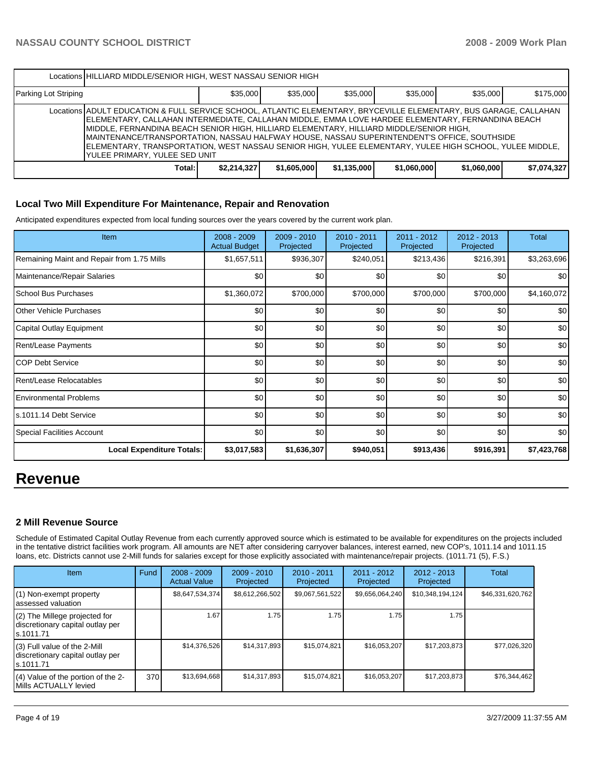|                      | Locations HILLIARD MIDDLE/SENIOR HIGH, WEST NASSAU SENIOR HIGH                                                                                                                                                                                                                                                                                                                                                                                                                                                                                                   |             |             |             |             |             |             |  |  |  |  |
|----------------------|------------------------------------------------------------------------------------------------------------------------------------------------------------------------------------------------------------------------------------------------------------------------------------------------------------------------------------------------------------------------------------------------------------------------------------------------------------------------------------------------------------------------------------------------------------------|-------------|-------------|-------------|-------------|-------------|-------------|--|--|--|--|
| Parking Lot Striping |                                                                                                                                                                                                                                                                                                                                                                                                                                                                                                                                                                  | \$35,000    | \$35,000    | \$35,000    | \$35,000    | \$35,000    | \$175,000   |  |  |  |  |
|                      | Locations ADULT EDUCATION & FULL SERVICE SCHOOL, ATLANTIC ELEMENTARY, BRYCEVILLE ELEMENTARY, BUS GARAGE, CALLAHAN<br>IELEMENTARY, CALLAHAN INTERMEDIATE, CALLAHAN MIDDLE, EMMA LOVE HARDEE ELEMENTARY, FERNANDINA BEACH<br>MIDDLE, FERNANDINA BEACH SENIOR HIGH, HILLIARD ELEMENTARY, HILLIARD MIDDLE/SENIOR HIGH,<br>IMAINTENANCE/TRANSPORTATION, NASSAU HALFWAY HOUSE, NASSAU SUPERINTENDENT'S OFFICE, SOUTHSIDE<br>JELEMENTARY, TRANSPORTATION, WEST NASSAU SENIOR HIGH, YULEE ELEMENTARY, YULEE HIGH SCHOOL, YULEE MIDDLE,<br>IYULEE PRIMARY. YULEE SED UNIT |             |             |             |             |             |             |  |  |  |  |
|                      | Total:                                                                                                                                                                                                                                                                                                                                                                                                                                                                                                                                                           | \$2,214,327 | \$1,605,000 | \$1,135,000 | \$1,060,000 | \$1,060,000 | \$7,074,327 |  |  |  |  |

#### **Local Two Mill Expenditure For Maintenance, Repair and Renovation**

Anticipated expenditures expected from local funding sources over the years covered by the current work plan.

| <b>Item</b>                                | $2008 - 2009$<br><b>Actual Budget</b> | 2009 - 2010<br>Projected | $2010 - 2011$<br>Projected | 2011 - 2012<br>Projected | $2012 - 2013$<br>Projected | <b>Total</b>     |
|--------------------------------------------|---------------------------------------|--------------------------|----------------------------|--------------------------|----------------------------|------------------|
| Remaining Maint and Repair from 1.75 Mills | \$1,657,511                           | \$936,307                | \$240,051                  | \$213,436                | \$216,391                  | \$3,263,696      |
| Maintenance/Repair Salaries                | \$0                                   | \$0                      | \$0                        | \$0                      | \$0                        | \$0 <sub>1</sub> |
| School Bus Purchases                       | \$1,360,072                           | \$700,000                | \$700,000                  | \$700,000                | \$700,000                  | \$4,160,072      |
| <b>Other Vehicle Purchases</b>             | \$0                                   | \$0                      | \$0                        | \$0                      | \$0                        | \$0              |
| Capital Outlay Equipment                   | \$0                                   | \$0                      | \$0                        | \$0                      | \$0                        | \$0              |
| Rent/Lease Payments                        | \$0                                   | \$0                      | \$0                        | \$0                      | \$0                        | \$0              |
| <b>COP Debt Service</b>                    | \$0                                   | \$0                      | \$0                        | \$0                      | \$0                        | \$0              |
| Rent/Lease Relocatables                    | \$0                                   | \$0                      | \$0                        | \$0                      | \$0                        | \$0              |
| <b>Environmental Problems</b>              | \$0                                   | \$0                      | \$0                        | \$0                      | \$0                        | \$0              |
| ls.1011.14 Debt Service                    | \$0                                   | \$0                      | \$0                        | \$0                      | \$0                        | \$0              |
| Special Facilities Account                 | \$0                                   | \$0                      | \$0                        | \$0                      | \$0                        | \$0              |
| <b>Local Expenditure Totals:</b>           | \$3,017,583                           | \$1,636,307              | \$940,051                  | \$913,436                | \$916,391                  | \$7,423,768      |

# **Revenue**

#### **2 Mill Revenue Source**

Schedule of Estimated Capital Outlay Revenue from each currently approved source which is estimated to be available for expenditures on the projects included in the tentative district facilities work program. All amounts are NET after considering carryover balances, interest earned, new COP's, 1011.14 and 1011.15 loans, etc. Districts cannot use 2-Mill funds for salaries except for those explicitly associated with maintenance/repair projects. (1011.71 (5), F.S.)

| Item                                                                              | Fund | $2008 - 2009$<br><b>Actual Value</b> | $2009 - 2010$<br>Projected | $2010 - 2011$<br>Projected | $2011 - 2012$<br>Projected | $2012 - 2013$<br>Projected | Total            |
|-----------------------------------------------------------------------------------|------|--------------------------------------|----------------------------|----------------------------|----------------------------|----------------------------|------------------|
| $(1)$ Non-exempt property<br>lassessed valuation                                  |      | \$8,647,534,374                      | \$8,612,266,502            | \$9,067,561,522            | \$9,656,064,240            | \$10,348,194,124           | \$46,331,620,762 |
| $(2)$ The Millege projected for<br>discretionary capital outlay per<br>ls.1011.71 |      | 1.67                                 | 1.75                       | 1.75                       | 1.75                       | 1.75                       |                  |
| $(3)$ Full value of the 2-Mill<br>discretionary capital outlay per<br>ls.1011.71  |      | \$14,376,526                         | \$14,317,893               | \$15,074,821               | \$16,053,207               | \$17,203,873               | \$77,026,320     |
| $(4)$ Value of the portion of the 2-<br>Mills ACTUALLY levied                     | 370  | \$13.694.668                         | \$14,317,893               | \$15,074,821               | \$16.053.207               | \$17,203,873               | \$76,344,462     |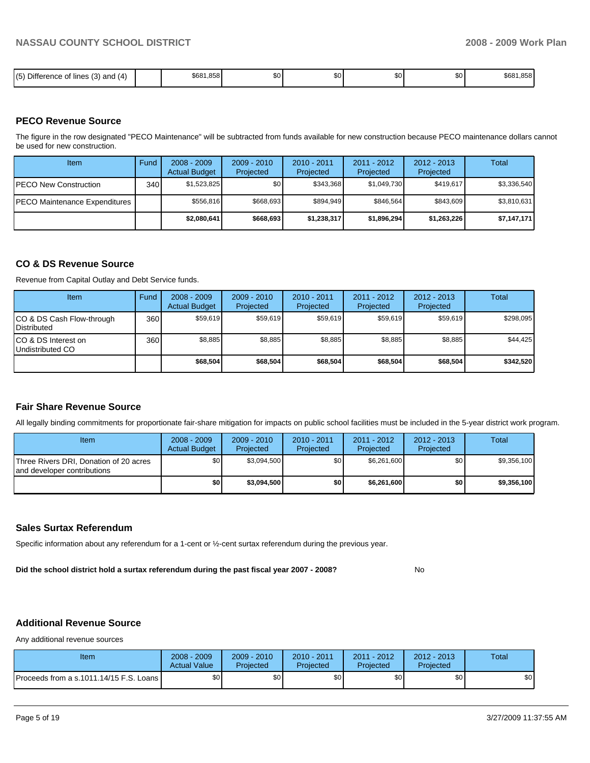| $\mathbf{r}$<br>(5)<br>(4)<br>$\sqrt{2}$<br>and<br>lines<br>Difference<br>⊹ot<br>، ں ر | 1.858<br>\$681 | SO I | ጦጣ<br>லப | \$0 | ሶስ<br>JU. | \$681,858 |
|----------------------------------------------------------------------------------------|----------------|------|----------|-----|-----------|-----------|

#### **PECO Revenue Source**

The figure in the row designated "PECO Maintenance" will be subtracted from funds available for new construction because PECO maintenance dollars cannot be used for new construction.

| Item                                  | Fund | $2008 - 2009$<br><b>Actual Budget</b> | $2009 - 2010$<br>Projected | $2010 - 2011$<br>Projected | $2011 - 2012$<br>Projected | $2012 - 2013$<br>Projected | Total       |
|---------------------------------------|------|---------------------------------------|----------------------------|----------------------------|----------------------------|----------------------------|-------------|
| <b>IPECO New Construction</b>         | 340  | \$1,523,825                           | \$٥Ι                       | \$343.368                  | \$1,049,730                | \$419,617                  | \$3,336,540 |
| <b>IPECO Maintenance Expenditures</b> |      | \$556,816                             | \$668.693                  | \$894.949                  | \$846.564                  | \$843.609                  | \$3,810,631 |
|                                       |      | \$2,080,641                           | \$668,693                  | \$1,238,317                | \$1,896,294                | \$1,263,226                | \$7,147,171 |

#### **CO & DS Revenue Source**

Revenue from Capital Outlay and Debt Service funds.

| Item                                               | Fund | $2008 - 2009$<br><b>Actual Budget</b> | $2009 - 2010$<br>Projected | $2010 - 2011$<br>Projected | $2011 - 2012$<br>Projected | $2012 - 2013$<br>Projected | Total     |
|----------------------------------------------------|------|---------------------------------------|----------------------------|----------------------------|----------------------------|----------------------------|-----------|
| ICO & DS Cash Flow-through<br><b>I</b> Distributed | 360  | \$59.619                              | \$59,619                   | \$59.619                   | \$59.619                   | \$59.619                   | \$298.095 |
| ICO & DS Interest on<br>Undistributed CO           | 360  | \$8.885                               | \$8,885                    | \$8,885                    | \$8.885                    | \$8,885                    | \$44,425  |
|                                                    |      | \$68,504                              | \$68,504                   | \$68,504                   | \$68,504                   | \$68,504                   | \$342,520 |

#### **Fair Share Revenue Source**

All legally binding commitments for proportionate fair-share mitigation for impacts on public school facilities must be included in the 5-year district work program.

| <b>Item</b>                                                           | $2008 - 2009$<br><b>Actual Budget</b> | $2009 - 2010$<br>Projected | $2010 - 2011$<br>Projected | 2011 - 2012<br>Projected | $2012 - 2013$<br>Projected | Total       |
|-----------------------------------------------------------------------|---------------------------------------|----------------------------|----------------------------|--------------------------|----------------------------|-------------|
| Three Rivers DRI, Donation of 20 acres<br>and developer contributions | \$0 <sub>1</sub>                      | \$3,094,500                | \$0                        | \$6.261.600              | \$0                        | \$9.356.100 |
|                                                                       | \$O I                                 | \$3,094,500                | \$0                        | \$6,261,600              | \$0                        | \$9,356,100 |

#### **Sales Surtax Referendum**

Specific information about any referendum for a 1-cent or ½-cent surtax referendum during the previous year.

**Did the school district hold a surtax referendum during the past fiscal year 2007 - 2008?** No

### **Additional Revenue Source**

Any additional revenue sources

| Item                                      | $2008 - 2009$<br><b>Actual Value</b> | $2009 - 2010$<br>Projected | 2010 - 2011<br>Projected | $2011 - 2012$<br>Projected | $2012 - 2013$<br>Projected | Total |
|-------------------------------------------|--------------------------------------|----------------------------|--------------------------|----------------------------|----------------------------|-------|
| Proceeds from a s.1011.14/15 F.S. Loans L | \$0                                  | \$0                        | \$0                      | \$0                        | \$0                        | \$0   |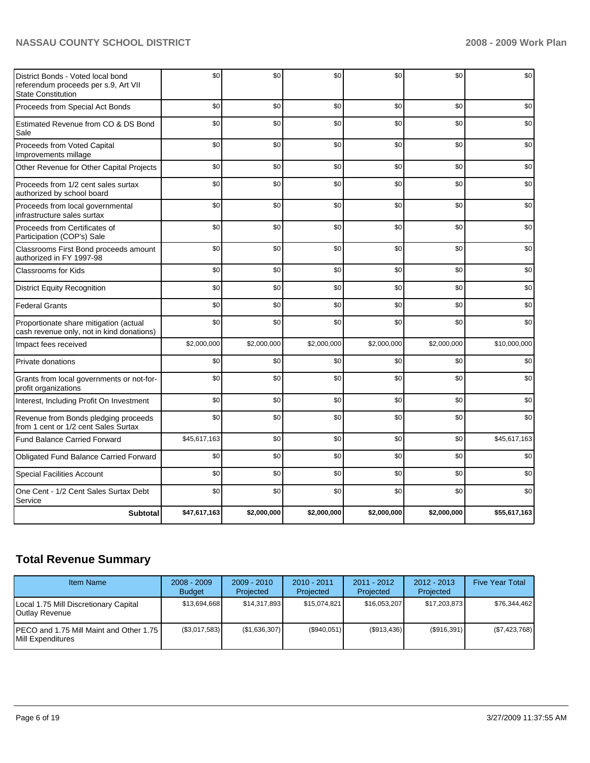| District Bonds - Voted local bond<br>referendum proceeds per s.9, Art VII<br><b>State Constitution</b> | \$0          | \$0         | \$0         | \$0         | \$0         | \$0          |
|--------------------------------------------------------------------------------------------------------|--------------|-------------|-------------|-------------|-------------|--------------|
| Proceeds from Special Act Bonds                                                                        | \$0          | \$0         | \$0         | \$0         | \$0         | \$0          |
| Estimated Revenue from CO & DS Bond<br>Sale                                                            | \$0          | \$0         | \$0         | \$0         | \$0         | \$0          |
| Proceeds from Voted Capital<br>Improvements millage                                                    | \$0          | \$0         | \$0         | \$0         | \$0         | \$0          |
| Other Revenue for Other Capital Projects                                                               | \$0          | \$0         | \$0         | \$0         | \$0         | \$0          |
| Proceeds from 1/2 cent sales surtax<br>authorized by school board                                      | \$0          | \$0         | \$0         | \$0         | \$0         | \$0          |
| Proceeds from local governmental<br>infrastructure sales surtax                                        | \$0          | \$0         | \$0         | \$0         | \$0         | \$0          |
| Proceeds from Certificates of<br>Participation (COP's) Sale                                            | \$0          | \$0         | \$0         | \$0         | \$0         | \$0          |
| Classrooms First Bond proceeds amount<br>authorized in FY 1997-98                                      | \$0          | \$0         | \$0         | \$0         | \$0         | \$0          |
| <b>Classrooms for Kids</b>                                                                             | \$0          | \$0         | \$0         | \$0         | \$0         | \$0          |
| <b>District Equity Recognition</b>                                                                     | \$0          | \$0         | \$0         | \$0         | \$0         | \$0          |
| <b>Federal Grants</b>                                                                                  | \$0          | \$0         | \$0         | \$0         | \$0         | \$0          |
| Proportionate share mitigation (actual<br>cash revenue only, not in kind donations)                    | \$0          | \$0         | \$0         | \$0         | \$0         | \$0          |
| Impact fees received                                                                                   | \$2,000,000  | \$2,000,000 | \$2,000,000 | \$2,000,000 | \$2,000,000 | \$10,000,000 |
| Private donations                                                                                      | \$0          | \$0         | \$0         | \$0         | \$0         | \$0          |
| Grants from local governments or not-for-<br>profit organizations                                      | \$0          | \$0         | \$0         | \$0         | \$0         | \$0          |
| Interest, Including Profit On Investment                                                               | \$0          | \$0         | \$0         | \$0         | \$0         | \$0          |
| Revenue from Bonds pledging proceeds<br>from 1 cent or 1/2 cent Sales Surtax                           | \$0          | \$0         | \$0         | \$0         | \$0         | \$0          |
| <b>Fund Balance Carried Forward</b>                                                                    | \$45,617,163 | \$0         | \$0         | \$0         | \$0         | \$45,617,163 |
| Obligated Fund Balance Carried Forward                                                                 | \$0          | \$0         | \$0         | \$0         | \$0         | \$0          |
| <b>Special Facilities Account</b>                                                                      | \$0          | \$0         | \$0         | \$0         | \$0         | \$0          |
| One Cent - 1/2 Cent Sales Surtax Debt<br>Service                                                       | \$0          | \$0         | \$0         | \$0         | \$0         | \$0          |
| <b>Subtotal</b>                                                                                        | \$47,617,163 | \$2,000,000 | \$2,000,000 | \$2,000,000 | \$2,000,000 | \$55,617,163 |

# **Total Revenue Summary**

| <b>Item Name</b>                                                             | $2008 - 2009$<br><b>Budget</b> | $2009 - 2010$<br>Projected | $2010 - 2011$<br>Projected | 2011 - 2012<br>Projected | $2012 - 2013$<br>Projected | <b>Five Year Total</b> |
|------------------------------------------------------------------------------|--------------------------------|----------------------------|----------------------------|--------------------------|----------------------------|------------------------|
| Local 1.75 Mill Discretionary Capital<br>Outlay Revenue                      | \$13.694.668                   | \$14,317,893               | \$15,074,821               | \$16.053.207             | \$17,203,873               | \$76.344.462           |
| <b>IPECO</b> and 1.75 Mill Maint and Other 1.75<br><b>IMill Expenditures</b> | (\$3,017,583)                  | (\$1,636,307)              | (S940.051)                 | $(\$913,436)$            | (\$916,391)                | (\$7,423,768)          |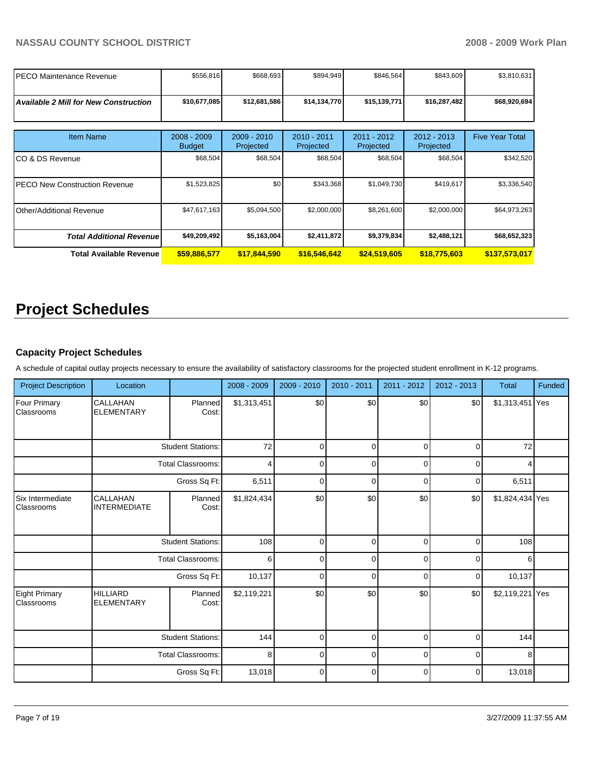| PECO Maintenance Revenue                     | \$556,816                      | \$668,693                | \$894,949                | \$846,564                | \$843,609                  | \$3,810,631            |
|----------------------------------------------|--------------------------------|--------------------------|--------------------------|--------------------------|----------------------------|------------------------|
| <b>Available 2 Mill for New Construction</b> | \$10,677,085                   | \$12,681,586             | \$14,134,770             | \$15,139,771             | \$16,287,482               | \$68,920,694           |
| <b>Item Name</b>                             | $2008 - 2009$<br><b>Budget</b> | 2009 - 2010<br>Projected | 2010 - 2011<br>Projected | 2011 - 2012<br>Projected | $2012 - 2013$<br>Projected | <b>Five Year Total</b> |
| ICO & DS Revenue                             | \$68,504                       | \$68,504                 | \$68,504                 | \$68,504                 | \$68,504                   | \$342,520              |
| <b>IPECO New Construction Revenue</b>        | \$1,523,825                    | \$0                      | \$343,368                | \$1,049,730              | \$419,617                  | \$3,336,540            |
| Other/Additional Revenue                     | \$47,617,163                   | \$5,094,500              | \$2,000,000              | \$8,261,600              | \$2,000,000                | \$64,973,263           |
| <b>Total Additional Revenue</b>              | \$49,209,492                   | \$5,163,004              | \$2,411,872              | \$9,379,834              | \$2,488,121                | \$68,652,323           |
| <b>Total Available Revenue</b>               | \$59,886,577                   | \$17,844,590             | \$16,546,642             | \$24,519,605             | \$18,775,603               | \$137,573,017          |

# **Project Schedules**

# **Capacity Project Schedules**

A schedule of capital outlay projects necessary to ensure the availability of satisfactory classrooms for the projected student enrollment in K-12 programs.

| <b>Project Description</b>        | Location                             |                          | 2008 - 2009    | $2009 - 2010$ | 2010 - 2011 | 2011 - 2012 | $2012 - 2013$ | <b>Total</b>    | Funded |
|-----------------------------------|--------------------------------------|--------------------------|----------------|---------------|-------------|-------------|---------------|-----------------|--------|
| <b>Four Primary</b><br>Classrooms | CALLAHAN<br><b>ELEMENTARY</b>        | Planned<br>Cost:         | \$1,313,451    | \$0           | \$0         | \$0         | \$0           | \$1,313,451 Yes |        |
|                                   |                                      | <b>Student Stations:</b> | 72             | $\Omega$      | $\Omega$    | $\Omega$    | $\Omega$      | 72              |        |
|                                   |                                      | <b>Total Classrooms:</b> | $\overline{4}$ | $\Omega$      | $\mathbf 0$ | $\Omega$    | $\Omega$      |                 |        |
|                                   |                                      | Gross Sq Ft:             | 6,511          | $\Omega$      | $\mathbf 0$ | $\Omega$    | $\Omega$      | 6,511           |        |
| Six Intermediate<br>Classrooms    | CALLAHAN<br><b>INTERMEDIATE</b>      | Planned<br>Cost:         | \$1,824,434    | \$0           | \$0         | \$0         | \$0           | \$1,824,434 Yes |        |
|                                   |                                      | <b>Student Stations:</b> | 108            | $\mathbf 0$   | $\mathbf 0$ | $\mathbf 0$ | $\mathbf 0$   | 108             |        |
|                                   |                                      | <b>Total Classrooms:</b> | 6              | $\Omega$      | $\mathbf 0$ | $\Omega$    | $\Omega$      | 6               |        |
|                                   |                                      | Gross Sq Ft:             | 10,137         | $\Omega$      | $\Omega$    | $\Omega$    | $\Omega$      | 10,137          |        |
| Eight Primary<br>Classrooms       | <b>HILLIARD</b><br><b>ELEMENTARY</b> | Planned<br>Cost:         | \$2,119,221    | \$0           | \$0         | \$0         | \$0           | \$2,119,221 Yes |        |
|                                   |                                      | <b>Student Stations:</b> | 144            | 0             | $\mathbf 0$ | $\mathbf 0$ | $\Omega$      | 144             |        |
|                                   | <b>Total Classrooms:</b>             |                          | 8              | 0             | $\mathbf 0$ | $\mathbf 0$ | $\mathbf 0$   | 8               |        |
|                                   |                                      | Gross Sq Ft:             | 13,018         | 0             | $\pmb{0}$   | $\mathbf 0$ | 0             | 13,018          |        |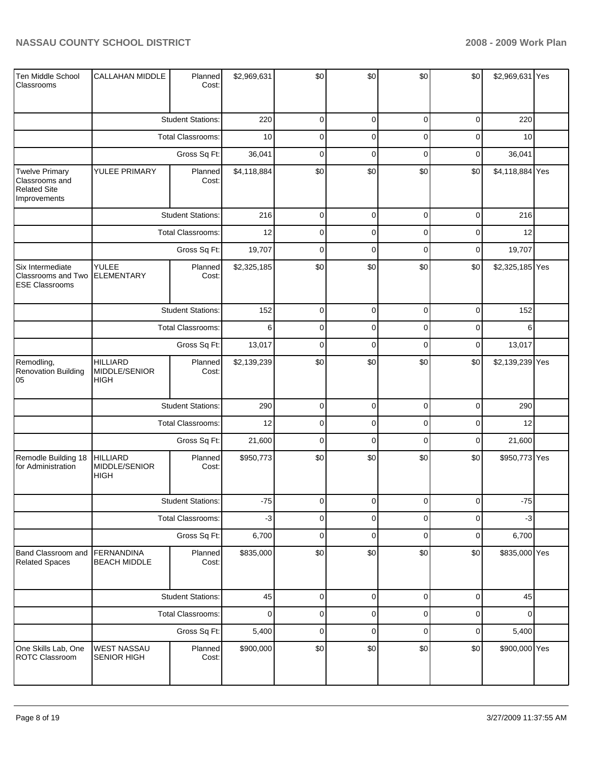| Ten Middle School<br>Classrooms                                                | <b>CALLAHAN MIDDLE</b>                          | Planned<br>Cost:         | \$2,969,631 | \$0                 | \$0         | \$0         | \$0         | \$2,969,631 Yes |  |
|--------------------------------------------------------------------------------|-------------------------------------------------|--------------------------|-------------|---------------------|-------------|-------------|-------------|-----------------|--|
|                                                                                |                                                 | <b>Student Stations:</b> | 220         | $\mathbf 0$         | $\mathbf 0$ | $\mathbf 0$ | $\mathbf 0$ | 220             |  |
|                                                                                |                                                 | Total Classrooms:        | 10          | $\mathbf 0$         | $\mathbf 0$ | 0           | $\mathbf 0$ | 10              |  |
|                                                                                |                                                 | Gross Sq Ft:             | 36,041      | $\mathbf 0$         | $\mathbf 0$ | $\mathbf 0$ | $\pmb{0}$   | 36,041          |  |
| <b>Twelve Primary</b><br>Classrooms and<br><b>Related Site</b><br>Improvements | YULEE PRIMARY                                   | Planned<br>Cost:         | \$4,118,884 | \$0                 | \$0         | \$0         | \$0         | \$4,118,884 Yes |  |
|                                                                                |                                                 | <b>Student Stations:</b> | 216         | $\mathbf 0$         | $\mathbf 0$ | $\mathbf 0$ | $\mathbf 0$ | 216             |  |
|                                                                                |                                                 | Total Classrooms:        | 12          | $\mathbf 0$         | $\mathbf 0$ | 0           | $\mathbf 0$ | 12              |  |
|                                                                                |                                                 | Gross Sq Ft:             | 19,707      | $\mathbf 0$         | $\mathbf 0$ | $\mathbf 0$ | $\mathbf 0$ | 19,707          |  |
| Six Intermediate<br>Classrooms and Two<br><b>ESE Classrooms</b>                | YULEE<br><b>ELEMENTARY</b>                      | Planned<br>Cost:         | \$2,325,185 | \$0                 | \$0         | \$0         | \$0         | \$2,325,185 Yes |  |
|                                                                                |                                                 | <b>Student Stations:</b> | 152         | $\mathbf 0$         | $\mathbf 0$ | $\mathbf 0$ | $\pmb{0}$   | 152             |  |
|                                                                                |                                                 | Total Classrooms:        | 6           | $\mathbf 0$         | $\mathbf 0$ | 0           | $\mathbf 0$ | 6               |  |
|                                                                                |                                                 | Gross Sq Ft:             | 13,017      | $\mathbf 0$         | $\mathbf 0$ | $\mathbf 0$ | $\pmb{0}$   | 13,017          |  |
| Remodling,<br><b>Renovation Building</b><br>05                                 | <b>HILLIARD</b><br>MIDDLE/SENIOR<br><b>HIGH</b> | Planned<br>Cost:         | \$2,139,239 | \$0                 | \$0         | \$0         | \$0         | \$2,139,239 Yes |  |
|                                                                                |                                                 | <b>Student Stations:</b> | 290         | $\mathbf 0$         | $\mathbf 0$ | $\mathbf 0$ | $\mathbf 0$ | 290             |  |
|                                                                                |                                                 | Total Classrooms:        | 12          | $\mathbf 0$         | $\mathbf 0$ | 0           | $\mathbf 0$ | 12              |  |
|                                                                                |                                                 | Gross Sq Ft:             | 21,600      | $\mathbf 0$         | $\mathbf 0$ | $\mathbf 0$ | $\mathbf 0$ | 21,600          |  |
| Remodle Building 18<br>for Administration                                      | <b>HILLIARD</b><br>MIDDLE/SENIOR<br><b>HIGH</b> | Planned<br>Cost:         | \$950,773   | \$0                 | \$0         | \$0         | \$0         | \$950,773 Yes   |  |
|                                                                                |                                                 | <b>Student Stations:</b> | $-75$       | 0                   | 0           | 0           | 0           | $-75$           |  |
|                                                                                |                                                 | <b>Total Classrooms:</b> | $-3$        | $\overline{0}$      | $\mathbf 0$ | 0           | $\mathbf 0$ | $-3$            |  |
|                                                                                |                                                 | Gross Sq Ft:             | 6,700       | $\mathsf{O}\xspace$ | $\mathbf 0$ | $\mathbf 0$ | $\pmb{0}$   | 6,700           |  |
| Band Classroom and<br><b>Related Spaces</b>                                    | <b>FERNANDINA</b><br><b>BEACH MIDDLE</b>        | Planned<br>Cost:         | \$835,000   | \$0                 | \$0         | \$0         | \$0         | \$835,000 Yes   |  |
|                                                                                |                                                 | <b>Student Stations:</b> | 45          | $\mathbf 0$         | $\mathbf 0$ | $\mathbf 0$ | $\pmb{0}$   | 45              |  |
|                                                                                |                                                 | Total Classrooms:        | $\pmb{0}$   | $\mathbf 0$         | $\mathbf 0$ | $\mathbf 0$ | $\pmb{0}$   | $\Omega$        |  |
|                                                                                |                                                 | Gross Sq Ft:             | 5,400       | $\mathbf 0$         | $\mathbf 0$ | $\mathbf 0$ | $\pmb{0}$   | 5,400           |  |
| One Skills Lab, One<br>ROTC Classroom                                          | <b>WEST NASSAU</b><br>SENIOR HIGH               | Planned<br>Cost:         | \$900,000   | \$0                 | \$0         | \$0         | \$0         | \$900,000 Yes   |  |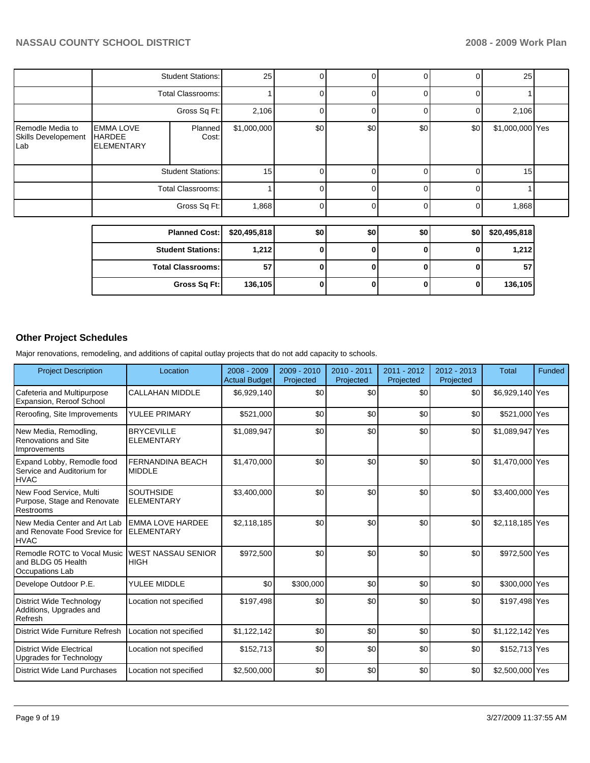|                                                |                                                        | <b>Student Stations:</b> | 25           | 0                  | $\Omega$    | 0   | $\Omega$ | 25              |  |
|------------------------------------------------|--------------------------------------------------------|--------------------------|--------------|--------------------|-------------|-----|----------|-----------------|--|
|                                                |                                                        | Total Classrooms:        |              |                    | $\Omega$    | 0   | $\Omega$ |                 |  |
|                                                |                                                        | Gross Sq Ft:             | 2,106        |                    | $\Omega$    | ი   | 0        | 2,106           |  |
| Remodle Media to<br>Skills Developement<br>Lab | <b>EMMA LOVE</b><br><b>HARDEE</b><br><b>ELEMENTARY</b> | Planned<br>Cost:         |              | \$0<br>\$1,000,000 | \$0         | \$0 | \$0      | \$1,000,000 Yes |  |
|                                                |                                                        | <b>Student Stations:</b> |              | 15                 | $\Omega$    | U   | $\Omega$ | 15 <sup>1</sup> |  |
|                                                |                                                        | <b>Total Classrooms:</b> |              |                    | $\Omega$    | U   | $\Omega$ |                 |  |
|                                                |                                                        | Gross Sq Ft:             | 1,868        | <sup>n</sup>       | $\Omega$    | U   | $\Omega$ | 1,868           |  |
|                                                |                                                        |                          |              |                    |             |     |          |                 |  |
|                                                | <b>Planned Cost:</b>                                   |                          | \$20,495,818 | \$0                | \$0         | \$0 | \$0      | \$20,495,818    |  |
|                                                | <b>Student Stations:</b>                               |                          | 1,212        |                    | 0           | 0   | 0        | 1,212           |  |
|                                                | <b>Total Classrooms:</b>                               |                          | 57           | <sup>0</sup>       | 0           | 0   | $\bf{0}$ | 57              |  |
|                                                |                                                        | Gross Sq Ft:             | 136,105      | 0                  | $\mathbf 0$ | 0   | 0        | 136,105         |  |

# **Other Project Schedules**

Major renovations, remodeling, and additions of capital outlay projects that do not add capacity to schools.

| <b>Project Description</b>                                                   | Location                                     | 2008 - 2009<br><b>Actual Budget</b> | 2009 - 2010<br>Projected | $2010 - 2011$<br>Projected | $2011 - 2012$<br>Projected | $2012 - 2013$<br>Projected | <b>Total</b>    | Funded |
|------------------------------------------------------------------------------|----------------------------------------------|-------------------------------------|--------------------------|----------------------------|----------------------------|----------------------------|-----------------|--------|
| Cafeteria and Multipurpose<br>Expansion, Reroof School                       | <b>CALLAHAN MIDDLE</b>                       | \$6,929,140                         | \$0                      | \$0                        | \$0                        | \$0                        | \$6,929,140 Yes |        |
| Reroofing, Site Improvements                                                 | YULEE PRIMARY                                | \$521,000                           | \$0                      | \$0                        | \$0                        | \$0                        | \$521,000 Yes   |        |
| New Media, Remodling,<br>Renovations and Site<br>Improvements                | <b>BRYCEVILLE</b><br><b>ELEMENTARY</b>       | \$1,089,947                         | \$0                      | \$0                        | \$0                        | \$0                        | \$1,089,947 Yes |        |
| Expand Lobby, Remodle food<br>Service and Auditorium for<br><b>HVAC</b>      | <b>FERNANDINA BEACH</b><br><b>MIDDLE</b>     | \$1,470,000                         | \$0                      | \$0                        | \$0                        | \$0                        | \$1,470,000 Yes |        |
| New Food Service, Multi<br>Purpose, Stage and Renovate<br>Restrooms          | <b>SOUTHSIDE</b><br><b>ELEMENTARY</b>        | \$3,400,000                         | \$0                      | \$0                        | \$0                        | \$0                        | \$3,400,000 Yes |        |
| New Media Center and Art Lab<br>and Renovate Food Srevice for<br><b>HVAC</b> | <b>EMMA LOVE HARDEE</b><br><b>ELEMENTARY</b> | \$2,118,185                         | \$0                      | \$0                        | \$0                        | \$0                        | \$2,118,185 Yes |        |
| Remodle ROTC to Vocal Music<br>and BLDG 05 Health<br><b>Occupations Lab</b>  | <b>WEST NASSAU SENIOR</b><br><b>HIGH</b>     | \$972,500                           | \$0                      | \$0                        | \$0                        | \$0                        | \$972,500 Yes   |        |
| Develope Outdoor P.E.                                                        | YULEE MIDDLE                                 | \$0                                 | \$300,000                | \$0                        | \$0                        | \$0                        | \$300,000 Yes   |        |
| <b>District Wide Technology</b><br>Additions, Upgrades and<br>Refresh        | Location not specified                       | \$197,498                           | \$0                      | \$0                        | \$0                        | \$0                        | \$197,498 Yes   |        |
| District Wide Furniture Refresh                                              | Location not specified                       | \$1,122,142                         | \$0                      | \$0                        | \$0                        | \$0                        | \$1,122,142 Yes |        |
| District Wide Flectrical<br>Upgrades for Technology                          | Location not specified                       | \$152,713                           | \$0                      | \$0                        | \$0                        | \$0                        | \$152,713 Yes   |        |
| District Wide Land Purchases                                                 | Location not specified                       | \$2,500,000                         | \$0                      | \$0                        | \$0                        | \$0                        | \$2,500,000 Yes |        |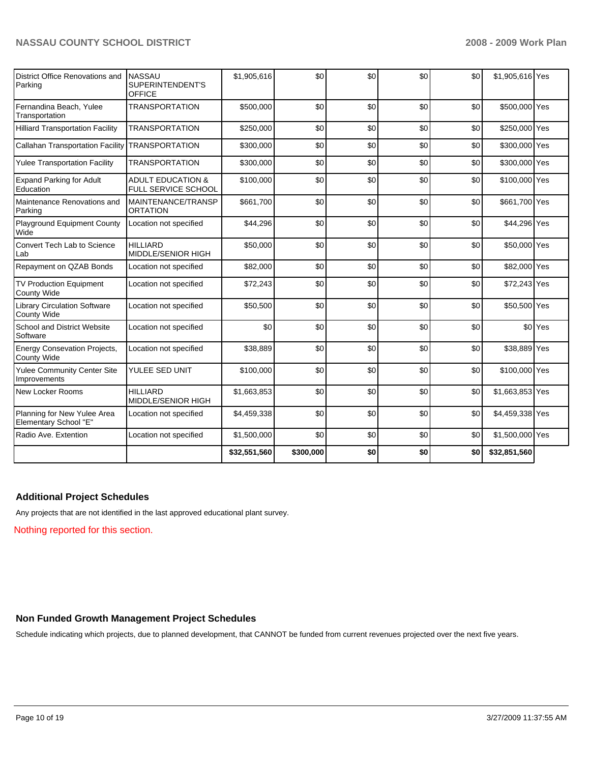| District Office Renovations and<br>Parking                | <b>NASSAU</b><br>SUPERINTENDENT'S<br><b>OFFICE</b>  | \$1,905,616  | \$0       | \$0 | \$0 | \$0 | \$1,905,616 Yes |                    |
|-----------------------------------------------------------|-----------------------------------------------------|--------------|-----------|-----|-----|-----|-----------------|--------------------|
| Fernandina Beach, Yulee<br>Transportation                 | <b>TRANSPORTATION</b>                               | \$500,000    | \$0       | \$0 | \$0 | \$0 | \$500,000 Yes   |                    |
| <b>Hilliard Transportation Facility</b>                   | <b>TRANSPORTATION</b>                               | \$250,000    | \$0       | \$0 | \$0 | \$0 | \$250,000 Yes   |                    |
| <b>Callahan Transportation Facility</b>                   | <b>TRANSPORTATION</b>                               | \$300,000    | \$0       | \$0 | \$0 | \$0 | \$300,000 Yes   |                    |
| <b>Yulee Transportation Facility</b>                      | <b>TRANSPORTATION</b>                               | \$300,000    | \$0       | \$0 | \$0 | \$0 | \$300,000 Yes   |                    |
| <b>Expand Parking for Adult</b><br>Education              | <b>ADULT EDUCATION &amp;</b><br>FULL SERVICE SCHOOL | \$100,000    | \$0       | \$0 | \$0 | \$0 | \$100,000 Yes   |                    |
| Maintenance Renovations and<br>Parking                    | MAINTENANCE/TRANSP<br><b>ORTATION</b>               | \$661,700    | \$0       | \$0 | \$0 | \$0 | \$661,700 Yes   |                    |
| <b>Playground Equipment County</b><br>Wide                | Location not specified                              | \$44,296     | \$0       | \$0 | \$0 | \$0 | \$44,296 Yes    |                    |
| Convert Tech Lab to Science<br>Lab                        | <b>HILLIARD</b><br><b>MIDDLE/SENIOR HIGH</b>        | \$50,000     | \$0       | \$0 | \$0 | \$0 | \$50,000 Yes    |                    |
| Repayment on QZAB Bonds                                   | Location not specified                              | \$82,000     | \$0       | \$0 | \$0 | \$0 | \$82,000 Yes    |                    |
| TV Production Equipment<br><b>County Wide</b>             | Location not specified                              | \$72,243     | \$0       | \$0 | \$0 | \$0 | \$72,243 Yes    |                    |
| <b>Library Circulation Software</b><br><b>County Wide</b> | Location not specified                              | \$50,500     | \$0       | \$0 | \$0 | \$0 | \$50,500 Yes    |                    |
| School and District Website<br>Software                   | Location not specified                              | \$0          | \$0       | \$0 | \$0 | \$0 |                 | \$0 <sup>Yes</sup> |
| <b>Energy Consevation Projects,</b><br><b>County Wide</b> | Location not specified                              | \$38,889     | \$0       | \$0 | \$0 | \$0 | \$38,889 Yes    |                    |
| <b>Yulee Community Center Site</b><br>Improvements        | YULEE SED UNIT                                      | \$100,000    | \$0       | \$0 | \$0 | \$0 | \$100,000 Yes   |                    |
| New Locker Rooms                                          | <b>HILLIARD</b><br>MIDDLE/SENIOR HIGH               | \$1,663,853  | \$0       | \$0 | \$0 | \$0 | \$1,663,853 Yes |                    |
| Planning for New Yulee Area<br>Elementary School "E"      | Location not specified                              | \$4,459,338  | \$0       | \$0 | \$0 | \$0 | \$4,459,338 Yes |                    |
| Radio Ave. Extention                                      | Location not specified                              | \$1,500,000  | \$0       | \$0 | \$0 | \$0 | \$1,500,000 Yes |                    |
|                                                           |                                                     | \$32,551,560 | \$300,000 | \$0 | \$0 | \$0 | \$32,851,560    |                    |

# **Additional Project Schedules**

Any projects that are not identified in the last approved educational plant survey.

Nothing reported for this section.

#### **Non Funded Growth Management Project Schedules**

Schedule indicating which projects, due to planned development, that CANNOT be funded from current revenues projected over the next five years.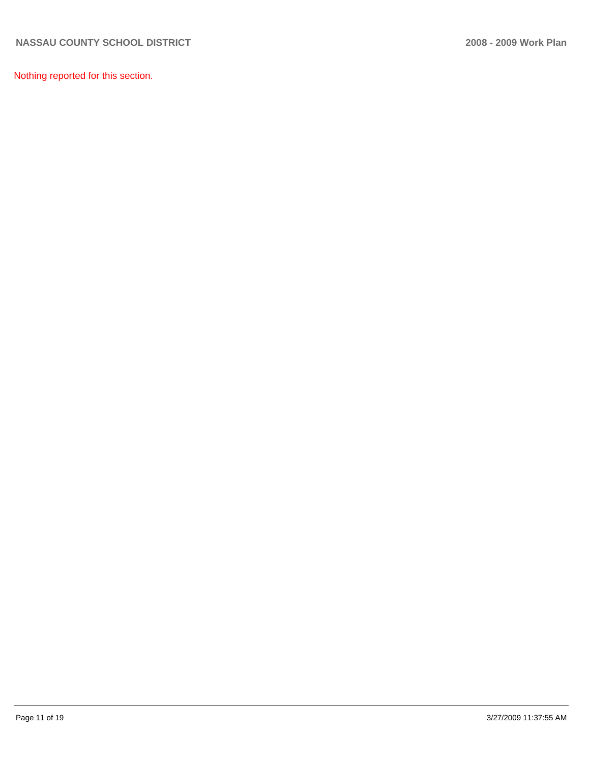Nothing reported for this section.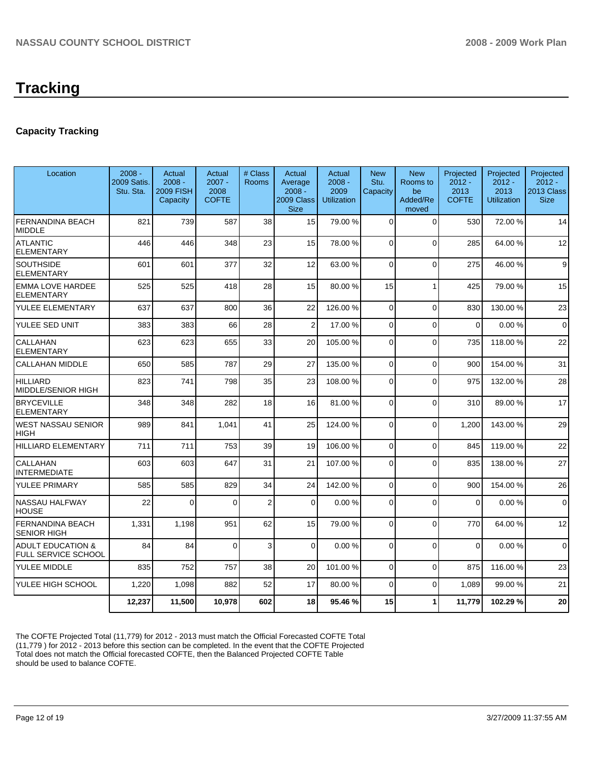# **Capacity Tracking**

| Location                                            | $2008 -$<br>2009 Satis.<br>Stu. Sta. | Actual<br>$2008 -$<br><b>2009 FISH</b><br>Capacity | Actual<br>$2007 -$<br>2008<br><b>COFTE</b> | # Class<br>Rooms | Actual<br>Average<br>$2008 -$<br>2009 Class<br><b>Size</b> | Actual<br>$2008 -$<br>2009<br><b>Utilization</b> | <b>New</b><br>Stu.<br>Capacity | <b>New</b><br>Rooms to<br>be<br>Added/Re<br>moved | Projected<br>$2012 -$<br>2013<br><b>COFTE</b> | Projected<br>$2012 -$<br>2013<br><b>Utilization</b> | Projected<br>$2012 -$<br>2013 Class<br><b>Size</b> |
|-----------------------------------------------------|--------------------------------------|----------------------------------------------------|--------------------------------------------|------------------|------------------------------------------------------------|--------------------------------------------------|--------------------------------|---------------------------------------------------|-----------------------------------------------|-----------------------------------------------------|----------------------------------------------------|
| <b>FERNANDINA BEACH</b><br><b>MIDDLE</b>            | 821                                  | 739                                                | 587                                        | 38               | 15                                                         | 79.00 %                                          | $\Omega$                       | $\Omega$                                          | 530                                           | 72.00 %                                             | 14                                                 |
| <b>ATLANTIC</b><br>ELEMENTARY                       | 446                                  | 446                                                | 348                                        | 23               | 15                                                         | 78.00 %                                          | $\Omega$                       | $\mathbf 0$                                       | 285                                           | 64.00 %                                             | 12                                                 |
| <b>SOUTHSIDE</b><br><b>ELEMENTARY</b>               | 601                                  | 601                                                | 377                                        | 32               | 12                                                         | 63.00 %                                          | $\Omega$                       | $\mathbf 0$                                       | 275                                           | 46.00 %                                             | 9                                                  |
| <b>EMMA LOVE HARDEE</b><br><b>ELEMENTARY</b>        | 525                                  | 525                                                | 418                                        | 28               | 15                                                         | 80.00 %                                          | 15                             | 1                                                 | 425                                           | 79.00 %                                             | 15                                                 |
| YULEE ELEMENTARY                                    | 637                                  | 637                                                | 800                                        | 36               | 22                                                         | 126.00 %                                         | $\Omega$                       | $\overline{0}$                                    | 830                                           | 130.00 %                                            | 23                                                 |
| YULEE SED UNIT                                      | 383                                  | 383                                                | 66                                         | 28               | 2                                                          | 17.00 %                                          | $\Omega$                       | $\mathbf{0}$                                      | $\Omega$                                      | 0.00%                                               | $\mathbf 0$                                        |
| CALLAHAN<br><b>ELEMENTARY</b>                       | 623                                  | 623                                                | 655                                        | 33               | 20                                                         | 105.00 %                                         | $\Omega$                       | $\mathbf 0$                                       | 735                                           | 118.00 %                                            | 22                                                 |
| <b>CALLAHAN MIDDLE</b>                              | 650                                  | 585                                                | 787                                        | 29               | 27                                                         | 135.00 %                                         | $\Omega$                       | $\Omega$                                          | 900                                           | 154.00 %                                            | 31                                                 |
| <b>HILLIARD</b><br>MIDDLE/SENIOR HIGH               | 823                                  | 741                                                | 798                                        | 35               | 23                                                         | 108.00 %                                         | $\Omega$                       | $\mathbf{0}$                                      | 975                                           | 132.00 %                                            | 28                                                 |
| <b>BRYCEVILLE</b><br><b>ELEMENTARY</b>              | 348                                  | 348                                                | 282                                        | 18               | 16                                                         | 81.00 %                                          | $\Omega$                       | $\mathbf{0}$                                      | 310                                           | 89.00 %                                             | 17                                                 |
| <b>WEST NASSAU SENIOR</b><br><b>HIGH</b>            | 989                                  | 841                                                | 1,041                                      | 41               | 25                                                         | 124.00 %                                         | $\Omega$                       | $\mathbf{0}$                                      | 1,200                                         | 143.00 %                                            | 29                                                 |
| <b>HILLIARD ELEMENTARY</b>                          | 711                                  | 711                                                | 753                                        | 39               | 19                                                         | 106.00%                                          | $\Omega$                       | $\overline{0}$                                    | 845                                           | 119.00 %                                            | 22                                                 |
| CALLAHAN<br><b>INTERMEDIATE</b>                     | 603                                  | 603                                                | 647                                        | 31               | 21                                                         | 107.00 %                                         | $\Omega$                       | $\mathbf{0}$                                      | 835                                           | 138.00 %                                            | 27                                                 |
| YULEE PRIMARY                                       | 585                                  | 585                                                | 829                                        | 34               | 24                                                         | 142.00%                                          | $\Omega$                       | $\mathbf 0$                                       | 900                                           | 154.00 %                                            | 26                                                 |
| <b>NASSAU HALFWAY</b><br><b>HOUSE</b>               | 22                                   | $\Omega$                                           | $\Omega$                                   | $\overline{2}$   | $\Omega$                                                   | 0.00%                                            | $\Omega$                       | $\Omega$                                          | $\Omega$                                      | 0.00%                                               | $\Omega$                                           |
| <b>FERNANDINA BEACH</b><br><b>SENIOR HIGH</b>       | 1,331                                | 1,198                                              | 951                                        | 62               | 15                                                         | 79.00 %                                          | $\Omega$                       | $\mathbf{0}$                                      | 770                                           | 64.00 %                                             | 12                                                 |
| <b>ADULT EDUCATION &amp;</b><br>FULL SERVICE SCHOOL | 84                                   | 84                                                 | $\Omega$                                   | 3                | $\Omega$                                                   | 0.00%                                            | $\Omega$                       | $\Omega$                                          | $\Omega$                                      | 0.00%                                               | $\Omega$                                           |
| YULEE MIDDLE                                        | 835                                  | 752                                                | 757                                        | 38               | 20                                                         | 101.00%                                          | $\Omega$                       | $\mathbf 0$                                       | 875                                           | 116.00 %                                            | 23                                                 |
| YULEE HIGH SCHOOL                                   | 1,220                                | 1,098                                              | 882                                        | 52               | 17                                                         | 80.00 %                                          | $\Omega$                       | $\pmb{0}$                                         | 1,089                                         | 99.00 %                                             | 21                                                 |
|                                                     | 12.237                               | 11,500                                             | 10.978                                     | 602              | 18                                                         | 95.46%                                           | 15                             | 1                                                 | 11.779                                        | 102.29 %                                            | 20                                                 |
|                                                     |                                      |                                                    |                                            |                  |                                                            |                                                  |                                |                                                   |                                               |                                                     |                                                    |

The COFTE Projected Total (11,779) for 2012 - 2013 must match the Official Forecasted COFTE Total (11,779 ) for 2012 - 2013 before this section can be completed. In the event that the COFTE Projected Total does not match the Official forecasted COFTE, then the Balanced Projected COFTE Table should be used to balance COFTE.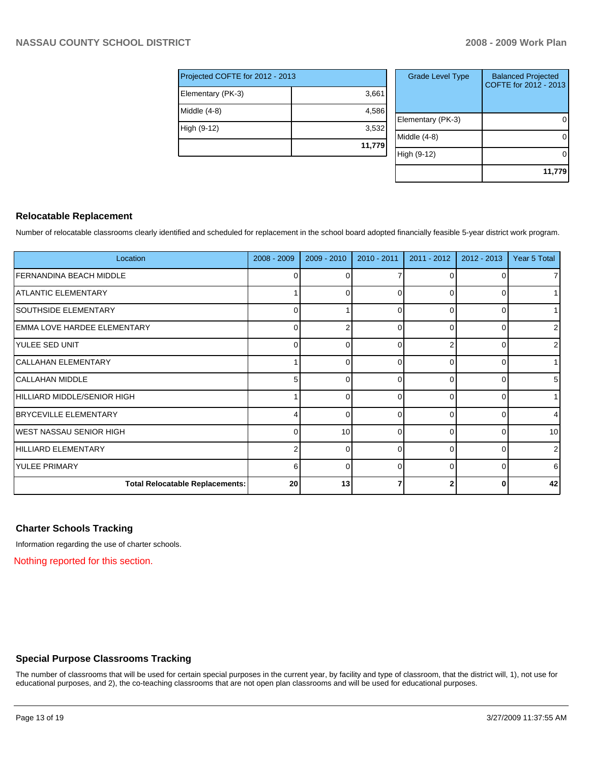| Projected COFTE for 2012 - 2013 |        |  |  |  |  |
|---------------------------------|--------|--|--|--|--|
| Elementary (PK-3)               | 3,661  |  |  |  |  |
| $Middle (4-8)$                  | 4,586  |  |  |  |  |
| High (9-12)                     | 3,532  |  |  |  |  |
|                                 | 11,779 |  |  |  |  |

| <b>Grade Level Type</b> | <b>Balanced Projected</b><br>COFTE for 2012 - 2013 |
|-------------------------|----------------------------------------------------|
| Elementary (PK-3)       |                                                    |
| Middle (4-8)            |                                                    |
| High (9-12)             |                                                    |
|                         | 11,779                                             |

# **Relocatable Replacement**

Number of relocatable classrooms clearly identified and scheduled for replacement in the school board adopted financially feasible 5-year district work program.

| Location                               | 2008 - 2009 | 2009 - 2010 | 2010 - 2011 | 2011 - 2012 | 2012 - 2013 | Year 5 Total   |
|----------------------------------------|-------------|-------------|-------------|-------------|-------------|----------------|
| I FERNANDINA BEACH MIDDLE              | 0           | 0           |             |             | 0           | 71             |
| ATLANTIC ELEMENTARY                    |             | $\Omega$    |             |             | 0           |                |
| SOUTHSIDE ELEMENTARY                   | 0           |             | $\Omega$    | 0           | $\Omega$    | 1              |
| EMMA LOVE HARDEE ELEMENTARY            | $\Omega$    | 2           |             |             | 0           | $\overline{2}$ |
| YULEE SED UNIT                         | $\Omega$    | $\Omega$    |             |             | 0           | 2              |
| İCALLAHAN ELEMENTARY                   |             | $\Omega$    | ∩           | ი           | $\Omega$    |                |
| CALLAHAN MIDDLE                        | 5           | $\Omega$    | $\Omega$    | 0           | 01          | 5              |
| HILLIARD MIDDLE/SENIOR HIGH            |             | $\Omega$    |             |             | 0           | 1              |
| <b>BRYCEVILLE ELEMENTARY</b>           | 4           | $\Omega$    | ∩           | $\Omega$    | ΩI          | 4              |
| WEST NASSAU SENIOR HIGH                | 0           | 10          | 0           | 0           | 0           | 10             |
| HILLIARD ELEMENTARY                    | 2           | $\Omega$    | C           | ∩           | 0           | $\overline{2}$ |
| <b>YULEE PRIMARY</b>                   | 6           | $\Omega$    | 0           | 0           | 01          | 6              |
| <b>Total Relocatable Replacements:</b> | 20          | 13          |             |             | 0           | 42             |

# **Charter Schools Tracking**

Information regarding the use of charter schools.

Nothing reported for this section.

# **Special Purpose Classrooms Tracking**

The number of classrooms that will be used for certain special purposes in the current year, by facility and type of classroom, that the district will, 1), not use for educational purposes, and 2), the co-teaching classrooms that are not open plan classrooms and will be used for educational purposes.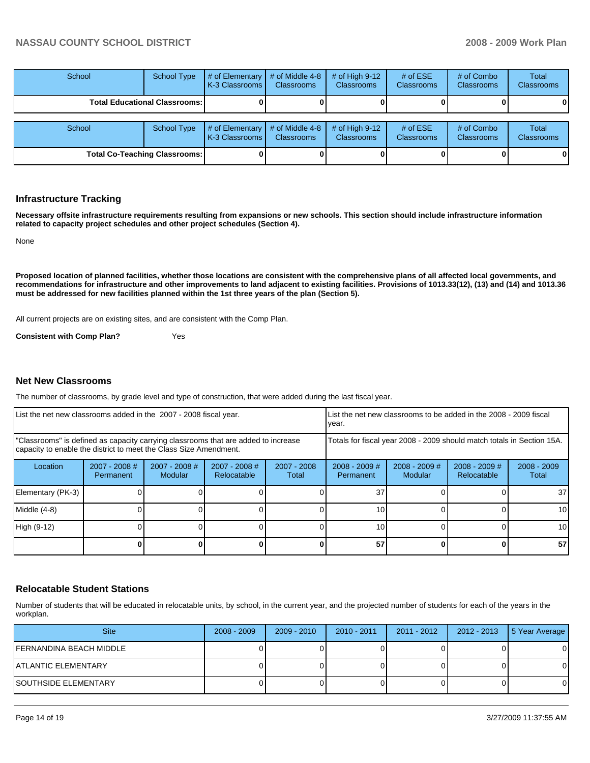| School                                 | <b>School Type</b> | # of Elementary<br>I K-3 Classrooms I | # of Middle 4-8<br><b>Classrooms</b> | # of High $9-12$<br><b>Classrooms</b> | # of $ESE$<br><b>Classrooms</b> | # of Combo<br><b>Classrooms</b> | Total<br><b>Classrooms</b> |
|----------------------------------------|--------------------|---------------------------------------|--------------------------------------|---------------------------------------|---------------------------------|---------------------------------|----------------------------|
| <b>Total Educational Classrooms: I</b> |                    |                                       |                                      |                                       |                                 |                                 | 01                         |
| School                                 | <b>School Type</b> | # of Elementary<br>I K-3 Classrooms I | # of Middle 4-8<br><b>Classrooms</b> | # of High $9-12$<br><b>Classrooms</b> | # of $ESE$<br><b>Classrooms</b> | # of Combo<br><b>Classrooms</b> | Total<br>Classrooms        |
| <b>Total Co-Teaching Classrooms:</b>   |                    |                                       |                                      |                                       |                                 |                                 | 0                          |

#### **Infrastructure Tracking**

**Necessary offsite infrastructure requirements resulting from expansions or new schools. This section should include infrastructure information related to capacity project schedules and other project schedules (Section 4).** 

None

**Proposed location of planned facilities, whether those locations are consistent with the comprehensive plans of all affected local governments, and recommendations for infrastructure and other improvements to land adjacent to existing facilities. Provisions of 1013.33(12), (13) and (14) and 1013.36 must be addressed for new facilities planned within the 1st three years of the plan (Section 5).** 

All current projects are on existing sites, and are consistent with the Comp Plan.

**Consistent with Comp Plan?** Yes

#### **Net New Classrooms**

The number of classrooms, by grade level and type of construction, that were added during the last fiscal year.

| List the net new classrooms added in the 2007 - 2008 fiscal year.                                                                                       |                              |                            |                                | List the net new classrooms to be added in the 2008 - 2009 fiscal<br>year. |                              |                            |                              |                        |
|---------------------------------------------------------------------------------------------------------------------------------------------------------|------------------------------|----------------------------|--------------------------------|----------------------------------------------------------------------------|------------------------------|----------------------------|------------------------------|------------------------|
| "Classrooms" is defined as capacity carrying classrooms that are added to increase<br>capacity to enable the district to meet the Class Size Amendment. |                              |                            |                                | Totals for fiscal year 2008 - 2009 should match totals in Section 15A.     |                              |                            |                              |                        |
| Location                                                                                                                                                | $2007 - 2008$ #<br>Permanent | $2007 - 2008$ #<br>Modular | $2007 - 2008$ #<br>Relocatable | $2007 - 2008$<br>Total                                                     | $2008 - 2009$ #<br>Permanent | $2008 - 2009$ #<br>Modular | 2008 - 2009 #<br>Relocatable | $2008 - 2009$<br>Total |
| Elementary (PK-3)                                                                                                                                       |                              |                            |                                |                                                                            | 37                           |                            |                              | 37 <sup>l</sup>        |
| Middle (4-8)                                                                                                                                            |                              |                            |                                |                                                                            | 10                           |                            |                              | 10 <sup>1</sup>        |
| High (9-12)                                                                                                                                             |                              |                            |                                |                                                                            | 10                           |                            |                              | 10 <sup>1</sup>        |
|                                                                                                                                                         |                              |                            |                                |                                                                            | 57                           |                            | 0                            | 57                     |

#### **Relocatable Student Stations**

Number of students that will be educated in relocatable units, by school, in the current year, and the projected number of students for each of the years in the workplan.

| <b>Site</b>              | $2008 - 2009$ | $2009 - 2010$ | $2010 - 2011$ | 2011 - 2012 | 2012 - 2013 | 5 Year Average |
|--------------------------|---------------|---------------|---------------|-------------|-------------|----------------|
| IFERNANDINA BEACH MIDDLE |               |               |               |             |             | 0              |
| IATLANTIC ELEMENTARY     |               |               |               |             |             |                |
| ISOUTHSIDE ELEMENTARY    |               |               |               |             |             | 0              |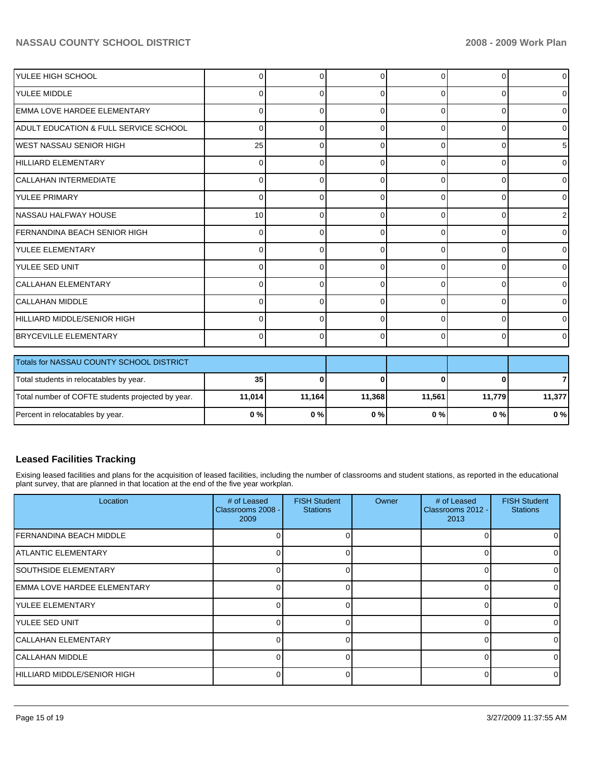| <b>IYULEE HIGH SCHOOL</b>                         | 0        | 0        | 0        | 0        | ŋ        | $\overline{0}$ |
|---------------------------------------------------|----------|----------|----------|----------|----------|----------------|
| <b>YULEE MIDDLE</b>                               | 0        | 0        | 0        | 0        | $\Omega$ | $\overline{0}$ |
| EMMA LOVE HARDEE ELEMENTARY                       | $\Omega$ | $\Omega$ | $\Omega$ | $\Omega$ | $\Omega$ | $\overline{0}$ |
| <b>ADULT EDUCATION &amp; FULL SERVICE SCHOOL</b>  | $\Omega$ | $\Omega$ | 0        | $\Omega$ | $\Omega$ | $\overline{0}$ |
| IWEST NASSAU SENIOR HIGH                          | 25       | $\Omega$ | $\Omega$ | $\Omega$ | 0        | 5 <sub>l</sub> |
| <b>HILLIARD ELEMENTARY</b>                        | 0        | 0        | 0        | 0        | 0        | $\overline{0}$ |
| <b>CALLAHAN INTERMEDIATE</b>                      | $\Omega$ | $\Omega$ | 0        | $\Omega$ | 0        | $\overline{0}$ |
| <b>YULEE PRIMARY</b>                              | $\Omega$ | $\Omega$ | $\Omega$ | $\Omega$ | $\Omega$ | $\overline{0}$ |
| INASSAU HALFWAY HOUSE                             | 10       | $\Omega$ | $\Omega$ | $\Omega$ | $\Omega$ | 2 <sub>1</sub> |
| FERNANDINA BEACH SENIOR HIGH                      | $\Omega$ | $\Omega$ | 0        | $\Omega$ | 0        | $\overline{0}$ |
| lyulee elementary                                 | 0        | 0        | 0        | $\Omega$ | $\Omega$ | $\overline{0}$ |
| <b>YULEE SED UNIT</b>                             | $\Omega$ | $\Omega$ | $\Omega$ | $\Omega$ | $\Omega$ | $\overline{0}$ |
| <b>CALLAHAN ELEMENTARY</b>                        | $\Omega$ | $\Omega$ | $\Omega$ | $\Omega$ | $\Omega$ | $\overline{0}$ |
| <b>CALLAHAN MIDDLE</b>                            | $\Omega$ | $\Omega$ | 0        | $\Omega$ | 0        | $\overline{0}$ |
| HILLIARD MIDDLE/SENIOR HIGH                       | $\Omega$ | $\Omega$ | 0        | $\Omega$ | $\Omega$ | $\overline{0}$ |
| <b>BRYCEVILLE ELEMENTARY</b>                      | $\Omega$ | $\Omega$ | $\Omega$ | $\Omega$ | 0        | $\Omega$       |
| Totals for NASSAU COUNTY SCHOOL DISTRICT          |          |          |          |          |          |                |
| Total students in relocatables by year.           | 35       | $\bf{0}$ | 0        | O        |          | $\overline{7}$ |
| Total number of COFTE students projected by year. | 11,014   | 11,164   | 11,368   | 11,561   | 11,779   | 11,377         |
| Percent in relocatables by year.                  | 0%       | 0%       | 0%       | 0%       | $0\%$    | 0%             |

# **Leased Facilities Tracking**

Exising leased facilities and plans for the acquisition of leased facilities, including the number of classrooms and student stations, as reported in the educational plant survey, that are planned in that location at the end of the five year workplan.

| Location                     | # of Leased<br>Classrooms 2008 -<br>2009 | <b>FISH Student</b><br><b>Stations</b> | Owner | # of Leased<br>Classrooms 2012 -<br>2013 | <b>FISH Student</b><br><b>Stations</b> |
|------------------------------|------------------------------------------|----------------------------------------|-------|------------------------------------------|----------------------------------------|
| IFERNANDINA BEACH MIDDLE     |                                          |                                        |       |                                          |                                        |
| <b>IATLANTIC ELEMENTARY</b>  |                                          |                                        |       |                                          |                                        |
| <b>ISOUTHSIDE ELEMENTARY</b> |                                          |                                        |       |                                          |                                        |
| EMMA LOVE HARDEE ELEMENTARY  |                                          |                                        |       |                                          |                                        |
| <b>IYULEE ELEMENTARY</b>     |                                          |                                        |       |                                          |                                        |
| <b>IYULEE SED UNIT</b>       | U                                        |                                        |       |                                          |                                        |
| <b>CALLAHAN ELEMENTARY</b>   | U.                                       |                                        |       |                                          |                                        |
| CALLAHAN MIDDLE              |                                          |                                        |       |                                          |                                        |
| HILLIARD MIDDLE/SENIOR HIGH  |                                          |                                        |       |                                          |                                        |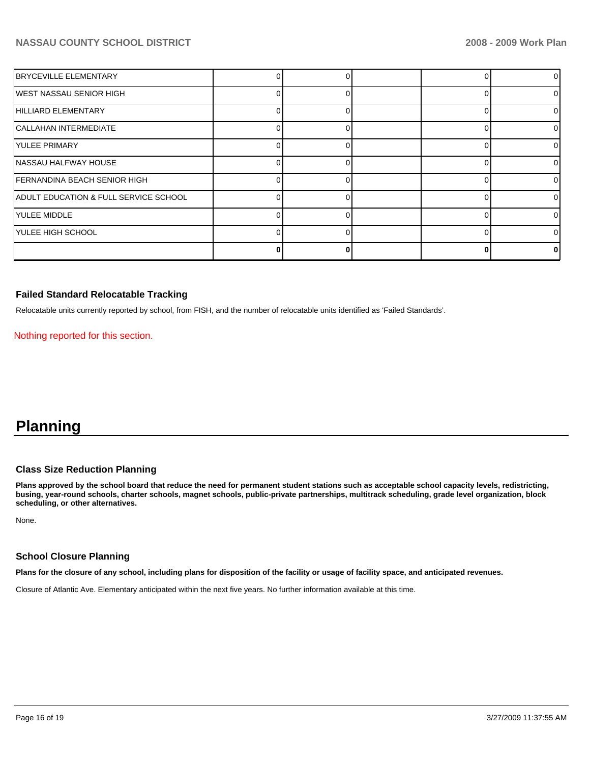| <b>IBRYCEVILLE ELEMENTARY</b>         |  |  | 0  |
|---------------------------------------|--|--|----|
| WEST NASSAU SENIOR HIGH               |  |  | 01 |
| HILLIARD ELEMENTARY                   |  |  | 0  |
| CALLAHAN INTERMEDIATE                 |  |  | 0  |
| IYULEE PRIMARY                        |  |  | 0  |
| NASSAU HALFWAY HOUSE                  |  |  | 01 |
| FERNANDINA BEACH SENIOR HIGH          |  |  | 0  |
| ADULT EDUCATION & FULL SERVICE SCHOOL |  |  | ΩI |
| lyulee middle                         |  |  | 0  |
| YULEE HIGH SCHOOL                     |  |  | 01 |
|                                       |  |  | 0  |

### **Failed Standard Relocatable Tracking**

Relocatable units currently reported by school, from FISH, and the number of relocatable units identified as 'Failed Standards'.

Nothing reported for this section.

# **Planning**

# **Class Size Reduction Planning**

**Plans approved by the school board that reduce the need for permanent student stations such as acceptable school capacity levels, redistricting, busing, year-round schools, charter schools, magnet schools, public-private partnerships, multitrack scheduling, grade level organization, block scheduling, or other alternatives.** 

None.

#### **School Closure Planning**

**Plans for the closure of any school, including plans for disposition of the facility or usage of facility space, and anticipated revenues.** 

Closure of Atlantic Ave. Elementary anticipated within the next five years. No further information available at this time.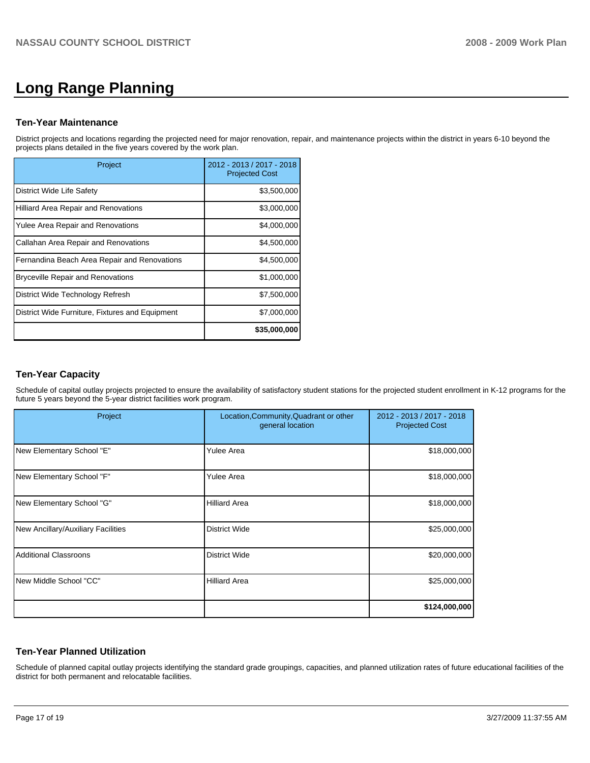# **Long Range Planning**

#### **Ten-Year Maintenance**

District projects and locations regarding the projected need for major renovation, repair, and maintenance projects within the district in years 6-10 beyond the projects plans detailed in the five years covered by the work plan.

| Project                                         | 2012 - 2013 / 2017 - 2018<br><b>Projected Cost</b> |
|-------------------------------------------------|----------------------------------------------------|
| District Wide Life Safety                       | \$3,500,000                                        |
| Hilliard Area Repair and Renovations            | \$3,000,000                                        |
| Yulee Area Repair and Renovations               | \$4,000,000                                        |
| Callahan Area Repair and Renovations            | \$4,500,000                                        |
| Fernandina Beach Area Repair and Renovations    | \$4,500,000                                        |
| <b>Bryceville Repair and Renovations</b>        | \$1,000,000                                        |
| District Wide Technology Refresh                | \$7,500,000                                        |
| District Wide Furniture, Fixtures and Equipment | \$7,000,000                                        |
|                                                 | \$35,000,000                                       |

### **Ten-Year Capacity**

Schedule of capital outlay projects projected to ensure the availability of satisfactory student stations for the projected student enrollment in K-12 programs for the future 5 years beyond the 5-year district facilities work program.

| Project                            | Location, Community, Quadrant or other<br>general location | 2012 - 2013 / 2017 - 2018<br><b>Projected Cost</b> |
|------------------------------------|------------------------------------------------------------|----------------------------------------------------|
| New Elementary School "E"          | <b>Yulee Area</b>                                          | \$18,000,000                                       |
| New Elementary School "F"          | <b>Yulee Area</b>                                          | \$18,000,000                                       |
| New Elementary School "G"          | <b>Hilliard Area</b>                                       | \$18,000,000                                       |
| New Ancillary/Auxiliary Facilities | <b>District Wide</b>                                       | \$25,000,000                                       |
| <b>Additional Classroons</b>       | <b>District Wide</b>                                       | \$20,000,000                                       |
| New Middle School "CC"             | <b>Hilliard Area</b>                                       | \$25,000,000                                       |
|                                    |                                                            | \$124,000,000                                      |

#### **Ten-Year Planned Utilization**

Schedule of planned capital outlay projects identifying the standard grade groupings, capacities, and planned utilization rates of future educational facilities of the district for both permanent and relocatable facilities.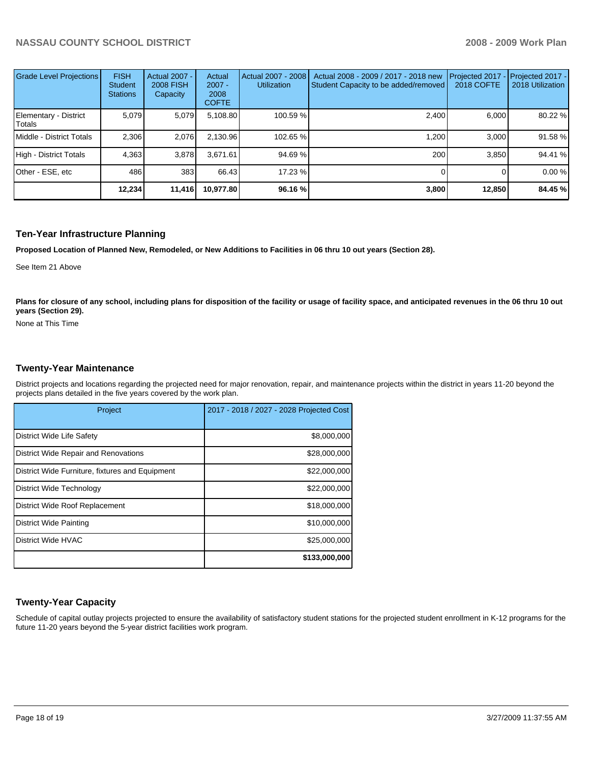| Grade Level Projections         | <b>FISH</b><br>Student<br><b>Stations</b> | Actual 2007 -<br><b>2008 FISH</b><br>Capacity | Actual<br>$2007 -$<br>2008<br><b>COFTE</b> | Actual 2007 - 2008<br><b>Utilization</b> | Actual 2008 - 2009 / 2017 - 2018 new<br>Student Capacity to be added/removed | Projected 2017<br>2018 COFTE | $-$ Projected 2017 -<br>2018 Utilization |
|---------------------------------|-------------------------------------------|-----------------------------------------------|--------------------------------------------|------------------------------------------|------------------------------------------------------------------------------|------------------------------|------------------------------------------|
| Elementary - District<br>Totals | 5.079                                     | 5,079                                         | 5,108.80                                   | 100.59 %                                 | 2,400                                                                        | 6,000                        | 80.22 %                                  |
| Middle - District Totals        | 2.306                                     | 2,076                                         | 2.130.96                                   | 102.65 %                                 | 1.200                                                                        | 3.000                        | 91.58 %                                  |
| High - District Totals          | 4.363                                     | 3,878                                         | 3.671.61                                   | 94.69 %                                  | 200                                                                          | 3.850                        | 94.41 %                                  |
| Other - ESE, etc                | 486                                       | 383                                           | 66.43                                      | 17.23 %                                  |                                                                              |                              | 0.00%                                    |
|                                 | 12,234                                    | 11,416                                        | 10,977.80                                  | 96.16 %                                  | 3,800                                                                        | 12,850                       | 84.45 %                                  |

# **Ten-Year Infrastructure Planning**

**Proposed Location of Planned New, Remodeled, or New Additions to Facilities in 06 thru 10 out years (Section 28).** 

See Item 21 Above

Plans for closure of any school, including plans for disposition of the facility or usage of facility space, and anticipated revenues in the 06 thru 10 out **years (Section 29).** 

None at This Time

#### **Twenty-Year Maintenance**

District projects and locations regarding the projected need for major renovation, repair, and maintenance projects within the district in years 11-20 beyond the projects plans detailed in the five years covered by the work plan.

| Project                                         | 2017 - 2018 / 2027 - 2028 Projected Cost |
|-------------------------------------------------|------------------------------------------|
| District Wide Life Safety                       | \$8,000,000                              |
| District Wide Repair and Renovations            | \$28,000,000                             |
| District Wide Furniture, fixtures and Equipment | \$22,000,000                             |
| District Wide Technology                        | \$22,000,000                             |
| District Wide Roof Replacement                  | \$18,000,000                             |
| District Wide Painting                          | \$10,000,000                             |
| <b>District Wide HVAC</b>                       | \$25,000,000                             |
|                                                 | \$133,000,000                            |

# **Twenty-Year Capacity**

Schedule of capital outlay projects projected to ensure the availability of satisfactory student stations for the projected student enrollment in K-12 programs for the future 11-20 years beyond the 5-year district facilities work program.